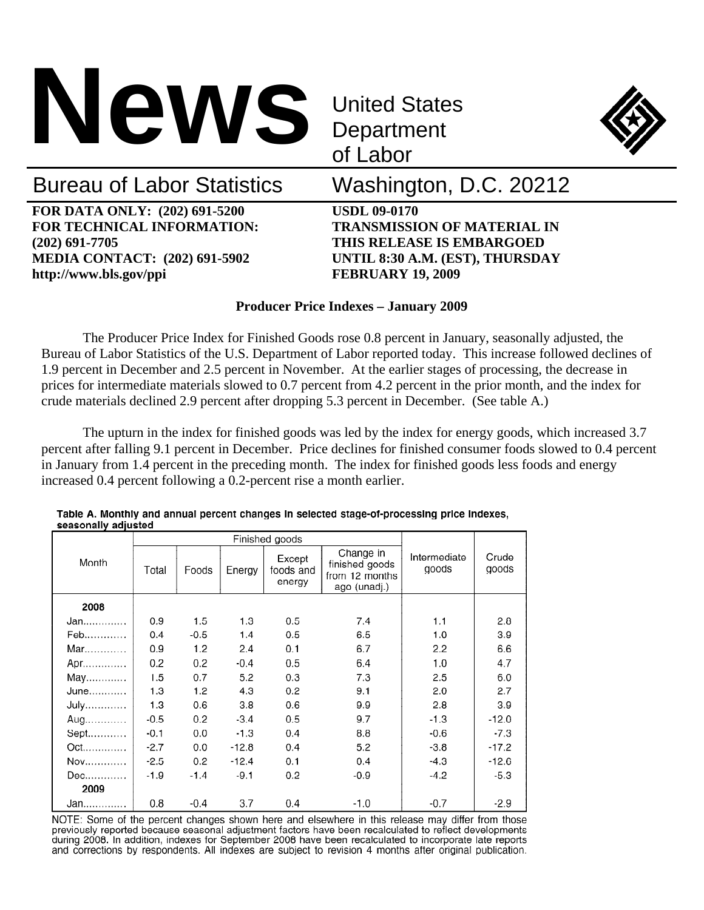

**Department** of Labor



# Bureau of Labor Statistics Washington, D.C. 20212

**FOR DATA ONLY: (202) 691-5200 USDL 09-0170 FOR TECHNICAL INFORMATION: TRANSMISSION OF MATERIAL IN (202) 691-7705 THIS RELEASE IS EMBARGOED MEDIA CONTACT: (202) 691-5902 UNTIL 8:30 A.M. (EST), THURSDAY http://www.bls.gov/ppi FEBRUARY 19, 2009** 

## **Producer Price Indexes – January 2009**

The Producer Price Index for Finished Goods rose 0.8 percent in January, seasonally adjusted, the Bureau of Labor Statistics of the U.S. Department of Labor reported today. This increase followed declines of 1.9 percent in December and 2.5 percent in November. At the earlier stages of processing, the decrease in prices for intermediate materials slowed to 0.7 percent from 4.2 percent in the prior month, and the index for crude materials declined 2.9 percent after dropping 5.3 percent in December. (See table A.)

The upturn in the index for finished goods was led by the index for energy goods, which increased 3.7 percent after falling 9.1 percent in December. Price declines for finished consumer foods slowed to 0.4 percent in January from 1.4 percent in the preceding month. The index for finished goods less foods and energy increased 0.4 percent following a 0.2-percent rise a month earlier.

| scasonany aujusteu |        |        |         | Finished goods                |                                                               |                       |                |
|--------------------|--------|--------|---------|-------------------------------|---------------------------------------------------------------|-----------------------|----------------|
| Month              | Total  | Foods  | Energy  | Except<br>foods and<br>energy | Change in<br>finished goods<br>from 12 months<br>ago (unadj.) | Intermediate<br>goods | Crude<br>goods |
| 2008               |        |        |         |                               |                                                               |                       |                |
| Jan                | 0.9    | 1.5    | 1.3     | 0.5                           | 7.4                                                           | 1.1                   | 2.8            |
| Feb                | 0.4    | $-0.5$ | 1.4     | 0.5                           | 6.5                                                           | 1.0                   | 39             |
| $Mar$              | 0.9    | 1.2    | 2.4     | 0.1                           | 6.7                                                           | 2.2                   | 6.6            |
| Apr                | 0.2    | 0.2    | $-0.4$  | 0.5                           | 6.4                                                           | 1.0                   | 4.7            |
| May                | 1.5    | 0.7    | 5.2     | 0.3                           | 7.3                                                           | 2.5                   | 6.0            |
| June               | 1.3    | 1.2    | 4.3     | 0.2                           | 9.1                                                           | 2.0                   | 2.7            |
| July               | 1.3    | 0.6    | 3.8     | 0.6                           | 9.9                                                           | 2.8                   | 3.9            |
| Aug                | $-0.5$ | 0.2    | $-3.4$  | 0.5                           | 9.7                                                           | $-1.3$                | $-12.0$        |
| Sept               | $-0.1$ | 0.0    | $-1.3$  | 0.4                           | 8.8                                                           | $-0.6$                | $-7.3$         |
|                    | $-2.7$ | 0.0    | $-12.8$ | 0.4                           | 5.2                                                           | $-3.8$                | $-17.2$        |
| Nov                | $-2.5$ | 0.2    | $-12.4$ | 0.1                           | 0.4                                                           | $-4.3$                | $-12.6$        |
| Dec                | $-1.9$ | $-1.4$ | $-9.1$  | 0.2                           | $-0.9$                                                        | $-4.2$                | $-5.3$         |
| 2009               |        |        |         |                               |                                                               |                       |                |
| Jan                | 0.8    | -0.4   | 3.7     | 0.4                           | $-1.0$                                                        | $-0.7$                | $-2.9$         |

Table A. Monthly and annual percent changes in selected stage-of-processing price indexes, conconally adjusted

NOTE: Some of the percent changes shown here and elsewhere in this release may differ from those previously reported because seasonal adjustment factors have been recalculated to reflect developments during 2008. In addition, indexes for September 2008 have been recalculated to incorporate late reports and corrections by respondents. All indexes are subject to revision 4 months after original publication.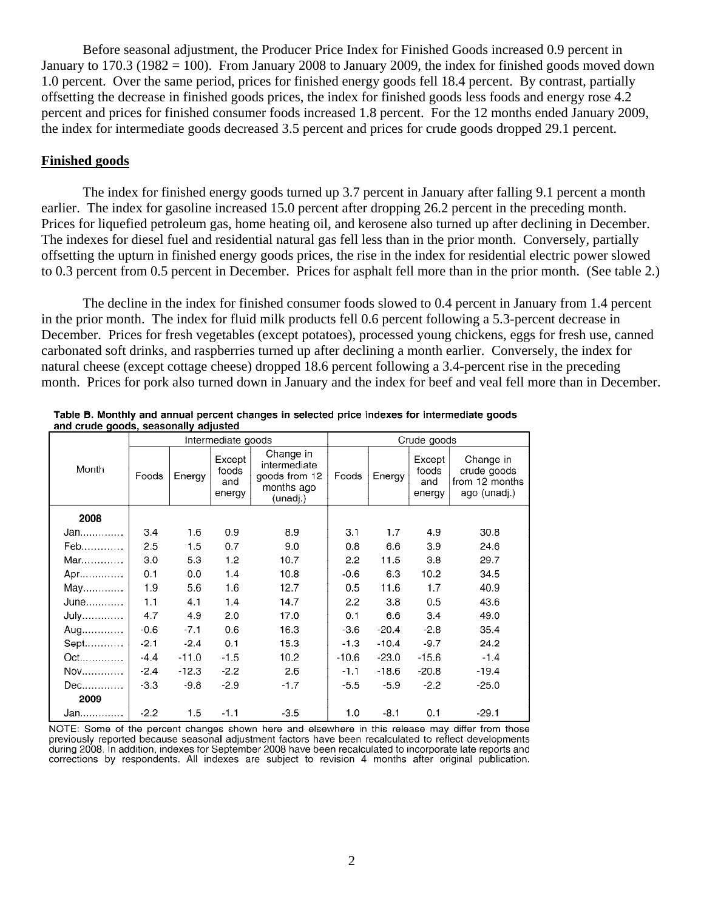Before seasonal adjustment, the Producer Price Index for Finished Goods increased 0.9 percent in January to  $170.3$  ( $1982 = 100$ ). From January 2008 to January 2009, the index for finished goods moved down 1.0 percent. Over the same period, prices for finished energy goods fell 18.4 percent. By contrast, partially offsetting the decrease in finished goods prices, the index for finished goods less foods and energy rose 4.2 percent and prices for finished consumer foods increased 1.8 percent. For the 12 months ended January 2009, the index for intermediate goods decreased 3.5 percent and prices for crude goods dropped 29.1 percent.

#### **Finished goods**

 The index for finished energy goods turned up 3.7 percent in January after falling 9.1 percent a month earlier. The index for gasoline increased 15.0 percent after dropping 26.2 percent in the preceding month. Prices for liquefied petroleum gas, home heating oil, and kerosene also turned up after declining in December. The indexes for diesel fuel and residential natural gas fell less than in the prior month. Conversely, partially offsetting the upturn in finished energy goods prices, the rise in the index for residential electric power slowed to 0.3 percent from 0.5 percent in December. Prices for asphalt fell more than in the prior month. (See table 2.)

The decline in the index for finished consumer foods slowed to 0.4 percent in January from 1.4 percent in the prior month. The index for fluid milk products fell 0.6 percent following a 5.3-percent decrease in December. Prices for fresh vegetables (except potatoes), processed young chickens, eggs for fresh use, canned carbonated soft drinks, and raspberries turned up after declining a month earlier. Conversely, the index for natural cheese (except cottage cheese) dropped 18.6 percent following a 3.4-percent rise in the preceding month. Prices for pork also turned down in January and the index for beef and veal fell more than in December.

|                | Intermediate goods |         |                                  |                                                                      | Crude goods |         |                                  |                                                            |
|----------------|--------------------|---------|----------------------------------|----------------------------------------------------------------------|-------------|---------|----------------------------------|------------------------------------------------------------|
| Month          | Foods              | Energy  | Except<br>foods<br>and<br>energy | Change in<br>intermediate<br>goods from 12<br>months ago<br>(unadj.) | Foods       | Energy  | Except<br>foods<br>and<br>energy | Change in<br>crude goods<br>from 12 months<br>ago (unadj.) |
| 2008           |                    |         |                                  |                                                                      |             |         |                                  |                                                            |
| Jan            | 3.4                | 1.6     | 0.9                              | 8.9                                                                  | 3.1         | 1.7     | 4.9                              | 30.8                                                       |
| Feb            | 2.5                | 1.5     | 0.7                              | 9.0                                                                  | 0.8         | 6.6     | 3.9                              | 24.6                                                       |
| Mar            | 3.0                | 5.3     | 1.2                              | 10.7                                                                 | 2.2         | 11.5    | 3.8                              | 29.7                                                       |
| Apr            | 0.1                | 0.0     | 1.4                              | 10.8                                                                 | $-0.6$      | 6.3     | 10.2                             | 34.5                                                       |
| May            | 1.9                | 5.6     | 1.6                              | 12.7                                                                 | 0.5         | 11.6    | 1.7                              | 40.9                                                       |
| June           | 1.1                | 4.1     | 1.4                              | 14.7                                                                 | 2.2         | 3.8     | 0.5                              | 43.6                                                       |
| July           | 4.7                | 4.9     | 2.0                              | 17.0                                                                 | 0.1         | 6.6     | 3.4                              | 49.0                                                       |
| Aug            | $-0.6$             | $-7.1$  | 0.6                              | 16.3                                                                 | $-3.6$      | $-20.4$ | $-2.8$                           | 35.4                                                       |
| Sept           | $-2.1$             | $-2.4$  | 0.1                              | 15.3                                                                 | $-1.3$      | $-10.4$ | $-9.7$                           | 24.2                                                       |
| Oct            | $-4.4$             | $-11.0$ | $-1.5$                           | 10.2                                                                 | $-10.6$     | $-23.0$ | $-15.6$                          | $-1.4$                                                     |
| $\mathsf{Nov}$ | $-2.4$             | $-12.3$ | $-2.2$                           | 2.6                                                                  | $-1.1$      | $-18.6$ | $-20.8$                          | $-19.4$                                                    |
| Dec            | $-3.3$             | $-9.8$  | $-2.9$                           | $-1.7$                                                               | $-5.5$      | $-5.9$  | $-2.2$                           | $-25.0$                                                    |
| 2009           |                    |         |                                  |                                                                      |             |         |                                  |                                                            |
| Jan            | $-2.2$             | 1.5     | $-1.1$                           | $-3.5$                                                               | 1.0         | $-8.1$  | 0.1                              | $-29.1$                                                    |

| Table B. Monthly and annual percent changes in selected price indexes for intermediate goods |  |  |  |  |
|----------------------------------------------------------------------------------------------|--|--|--|--|
| and crude goods, seasonally adjusted                                                         |  |  |  |  |
|                                                                                              |  |  |  |  |

NOTE: Some of the percent changes shown here and elsewhere in this release may differ from those previously reported because seasonal adjustment factors have been recalculated to reflect developments during 2008. In addition, indexes for September 2008 have been recalculated to incorporate late reports and corrections by respondents. All indexes are subject to revision 4 months after original publication.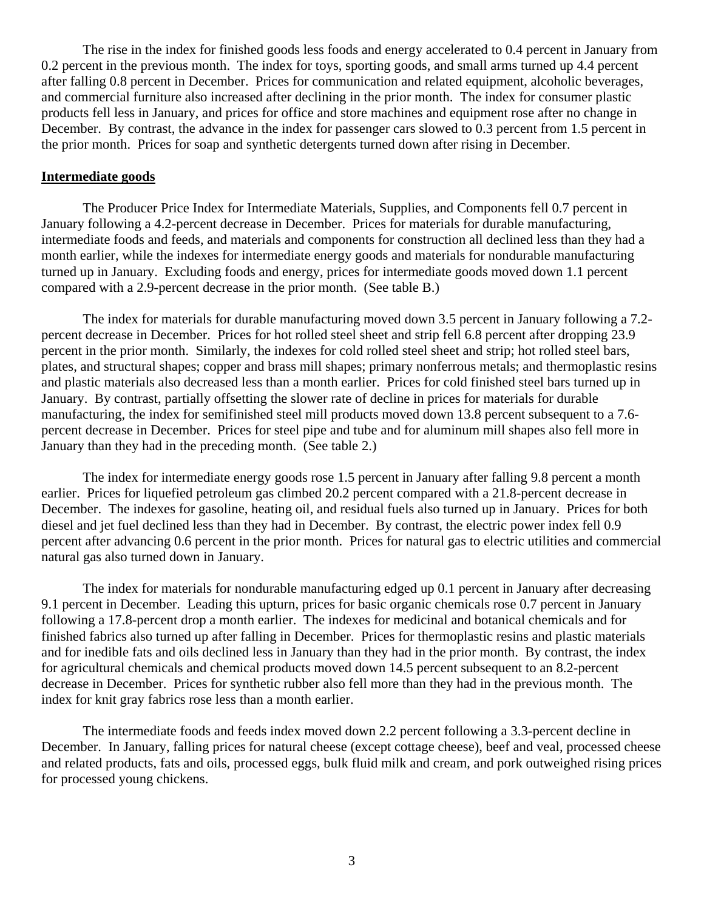The rise in the index for finished goods less foods and energy accelerated to 0.4 percent in January from 0.2 percent in the previous month. The index for toys, sporting goods, and small arms turned up 4.4 percent after falling 0.8 percent in December. Prices for communication and related equipment, alcoholic beverages, and commercial furniture also increased after declining in the prior month. The index for consumer plastic products fell less in January, and prices for office and store machines and equipment rose after no change in December. By contrast, the advance in the index for passenger cars slowed to 0.3 percent from 1.5 percent in the prior month. Prices for soap and synthetic detergents turned down after rising in December.

#### **Intermediate goods**

 The Producer Price Index for Intermediate Materials, Supplies, and Components fell 0.7 percent in January following a 4.2-percent decrease in December. Prices for materials for durable manufacturing, intermediate foods and feeds, and materials and components for construction all declined less than they had a month earlier, while the indexes for intermediate energy goods and materials for nondurable manufacturing turned up in January. Excluding foods and energy, prices for intermediate goods moved down 1.1 percent compared with a 2.9-percent decrease in the prior month. (See table B.)

 The index for materials for durable manufacturing moved down 3.5 percent in January following a 7.2 percent decrease in December. Prices for hot rolled steel sheet and strip fell 6.8 percent after dropping 23.9 percent in the prior month. Similarly, the indexes for cold rolled steel sheet and strip; hot rolled steel bars, plates, and structural shapes; copper and brass mill shapes; primary nonferrous metals; and thermoplastic resins and plastic materials also decreased less than a month earlier. Prices for cold finished steel bars turned up in January. By contrast, partially offsetting the slower rate of decline in prices for materials for durable manufacturing, the index for semifinished steel mill products moved down 13.8 percent subsequent to a 7.6 percent decrease in December. Prices for steel pipe and tube and for aluminum mill shapes also fell more in January than they had in the preceding month. (See table 2.)

 The index for intermediate energy goods rose 1.5 percent in January after falling 9.8 percent a month earlier. Prices for liquefied petroleum gas climbed 20.2 percent compared with a 21.8-percent decrease in December. The indexes for gasoline, heating oil, and residual fuels also turned up in January. Prices for both diesel and jet fuel declined less than they had in December. By contrast, the electric power index fell 0.9 percent after advancing 0.6 percent in the prior month. Prices for natural gas to electric utilities and commercial natural gas also turned down in January.

 The index for materials for nondurable manufacturing edged up 0.1 percent in January after decreasing 9.1 percent in December. Leading this upturn, prices for basic organic chemicals rose 0.7 percent in January following a 17.8-percent drop a month earlier. The indexes for medicinal and botanical chemicals and for finished fabrics also turned up after falling in December. Prices for thermoplastic resins and plastic materials and for inedible fats and oils declined less in January than they had in the prior month. By contrast, the index for agricultural chemicals and chemical products moved down 14.5 percent subsequent to an 8.2-percent decrease in December. Prices for synthetic rubber also fell more than they had in the previous month. The index for knit gray fabrics rose less than a month earlier.

 The intermediate foods and feeds index moved down 2.2 percent following a 3.3-percent decline in December. In January, falling prices for natural cheese (except cottage cheese), beef and veal, processed cheese and related products, fats and oils, processed eggs, bulk fluid milk and cream, and pork outweighed rising prices for processed young chickens.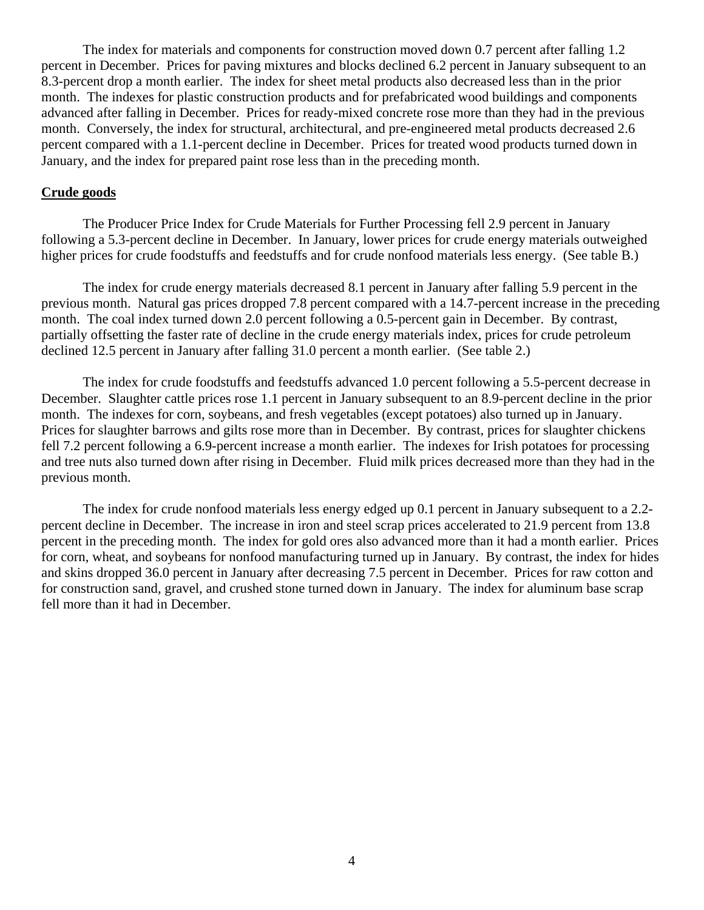The index for materials and components for construction moved down 0.7 percent after falling 1.2 percent in December. Prices for paving mixtures and blocks declined 6.2 percent in January subsequent to an 8.3-percent drop a month earlier. The index for sheet metal products also decreased less than in the prior month. The indexes for plastic construction products and for prefabricated wood buildings and components advanced after falling in December. Prices for ready-mixed concrete rose more than they had in the previous month. Conversely, the index for structural, architectural, and pre-engineered metal products decreased 2.6 percent compared with a 1.1-percent decline in December. Prices for treated wood products turned down in January, and the index for prepared paint rose less than in the preceding month.

#### **Crude goods**

 The Producer Price Index for Crude Materials for Further Processing fell 2.9 percent in January following a 5.3-percent decline in December. In January, lower prices for crude energy materials outweighed higher prices for crude foodstuffs and feedstuffs and for crude nonfood materials less energy. (See table B.)

The index for crude energy materials decreased 8.1 percent in January after falling 5.9 percent in the previous month. Natural gas prices dropped 7.8 percent compared with a 14.7-percent increase in the preceding month. The coal index turned down 2.0 percent following a 0.5-percent gain in December. By contrast, partially offsetting the faster rate of decline in the crude energy materials index, prices for crude petroleum declined 12.5 percent in January after falling 31.0 percent a month earlier. (See table 2.)

 The index for crude foodstuffs and feedstuffs advanced 1.0 percent following a 5.5-percent decrease in December. Slaughter cattle prices rose 1.1 percent in January subsequent to an 8.9-percent decline in the prior month. The indexes for corn, soybeans, and fresh vegetables (except potatoes) also turned up in January. Prices for slaughter barrows and gilts rose more than in December. By contrast, prices for slaughter chickens fell 7.2 percent following a 6.9-percent increase a month earlier. The indexes for Irish potatoes for processing and tree nuts also turned down after rising in December. Fluid milk prices decreased more than they had in the previous month.

The index for crude nonfood materials less energy edged up 0.1 percent in January subsequent to a 2.2 percent decline in December. The increase in iron and steel scrap prices accelerated to 21.9 percent from 13.8 percent in the preceding month. The index for gold ores also advanced more than it had a month earlier. Prices for corn, wheat, and soybeans for nonfood manufacturing turned up in January. By contrast, the index for hides and skins dropped 36.0 percent in January after decreasing 7.5 percent in December. Prices for raw cotton and for construction sand, gravel, and crushed stone turned down in January. The index for aluminum base scrap fell more than it had in December.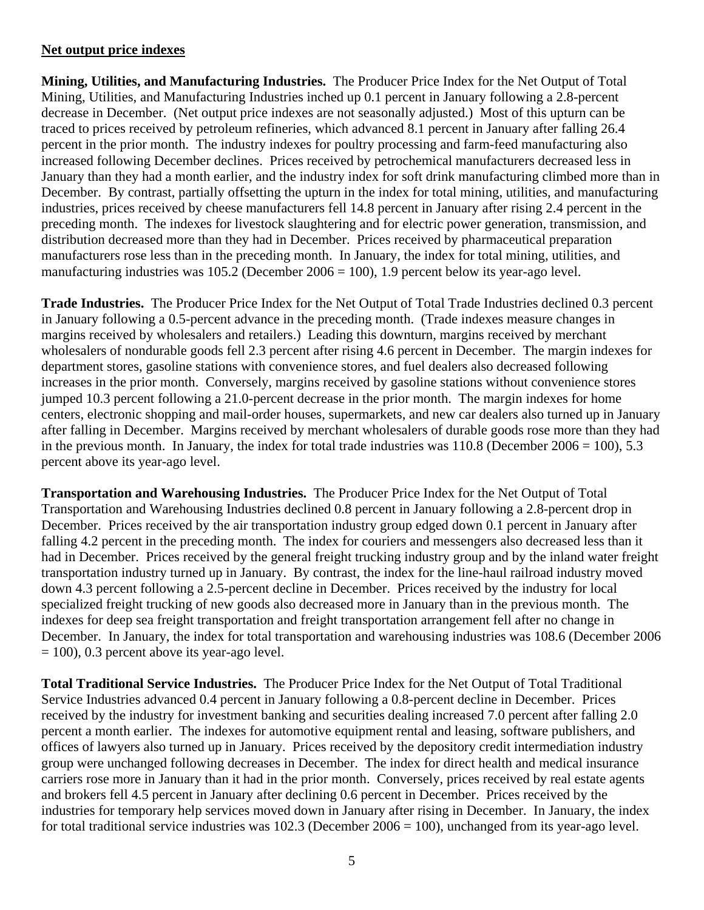# **Net output price indexes**

**Mining, Utilities, and Manufacturing Industries.** The Producer Price Index for the Net Output of Total Mining, Utilities, and Manufacturing Industries inched up 0.1 percent in January following a 2.8-percent decrease in December. (Net output price indexes are not seasonally adjusted.) Most of this upturn can be traced to prices received by petroleum refineries, which advanced 8.1 percent in January after falling 26.4 percent in the prior month. The industry indexes for poultry processing and farm-feed manufacturing also increased following December declines. Prices received by petrochemical manufacturers decreased less in January than they had a month earlier, and the industry index for soft drink manufacturing climbed more than in December. By contrast, partially offsetting the upturn in the index for total mining, utilities, and manufacturing industries, prices received by cheese manufacturers fell 14.8 percent in January after rising 2.4 percent in the preceding month. The indexes for livestock slaughtering and for electric power generation, transmission, and distribution decreased more than they had in December. Prices received by pharmaceutical preparation manufacturers rose less than in the preceding month. In January, the index for total mining, utilities, and manufacturing industries was 105.2 (December 2006 = 100), 1.9 percent below its year-ago level.

**Trade Industries.** The Producer Price Index for the Net Output of Total Trade Industries declined 0.3 percent in January following a 0.5-percent advance in the preceding month. (Trade indexes measure changes in margins received by wholesalers and retailers.) Leading this downturn, margins received by merchant wholesalers of nondurable goods fell 2.3 percent after rising 4.6 percent in December. The margin indexes for department stores, gasoline stations with convenience stores, and fuel dealers also decreased following increases in the prior month. Conversely, margins received by gasoline stations without convenience stores jumped 10.3 percent following a 21.0-percent decrease in the prior month. The margin indexes for home centers, electronic shopping and mail-order houses, supermarkets, and new car dealers also turned up in January after falling in December. Margins received by merchant wholesalers of durable goods rose more than they had in the previous month. In January, the index for total trade industries was  $110.8$  (December  $2006 = 100$ ),  $5.3$ percent above its year-ago level.

**Transportation and Warehousing Industries.** The Producer Price Index for the Net Output of Total Transportation and Warehousing Industries declined 0.8 percent in January following a 2.8-percent drop in December. Prices received by the air transportation industry group edged down 0.1 percent in January after falling 4.2 percent in the preceding month. The index for couriers and messengers also decreased less than it had in December. Prices received by the general freight trucking industry group and by the inland water freight transportation industry turned up in January. By contrast, the index for the line-haul railroad industry moved down 4.3 percent following a 2.5-percent decline in December. Prices received by the industry for local specialized freight trucking of new goods also decreased more in January than in the previous month. The indexes for deep sea freight transportation and freight transportation arrangement fell after no change in December. In January, the index for total transportation and warehousing industries was 108.6 (December 2006  $= 100$ ), 0.3 percent above its year-ago level.

**Total Traditional Service Industries.** The Producer Price Index for the Net Output of Total Traditional Service Industries advanced 0.4 percent in January following a 0.8-percent decline in December. Prices received by the industry for investment banking and securities dealing increased 7.0 percent after falling 2.0 percent a month earlier. The indexes for automotive equipment rental and leasing, software publishers, and offices of lawyers also turned up in January. Prices received by the depository credit intermediation industry group were unchanged following decreases in December. The index for direct health and medical insurance carriers rose more in January than it had in the prior month. Conversely, prices received by real estate agents and brokers fell 4.5 percent in January after declining 0.6 percent in December. Prices received by the industries for temporary help services moved down in January after rising in December. In January, the index for total traditional service industries was 102.3 (December 2006 = 100), unchanged from its year-ago level.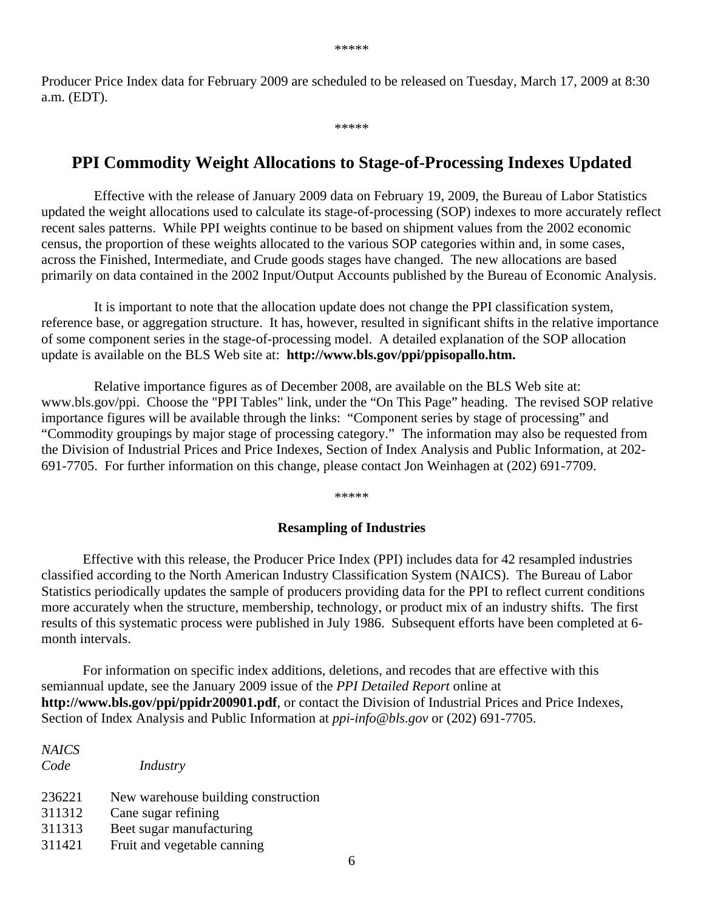Producer Price Index data for February 2009 are scheduled to be released on Tuesday, March 17, 2009 at 8:30 a.m. (EDT).

\*\*\*\*\*

# **PPI Commodity Weight Allocations to Stage-of-Processing Indexes Updated**

 Effective with the release of January 2009 data on February 19, 2009, the Bureau of Labor Statistics updated the weight allocations used to calculate its stage-of-processing (SOP) indexes to more accurately reflect recent sales patterns. While PPI weights continue to be based on shipment values from the 2002 economic census, the proportion of these weights allocated to the various SOP categories within and, in some cases, across the Finished, Intermediate, and Crude goods stages have changed. The new allocations are based primarily on data contained in the 2002 Input/Output Accounts published by the Bureau of Economic Analysis.

 It is important to note that the allocation update does not change the PPI classification system, reference base, or aggregation structure. It has, however, resulted in significant shifts in the relative importance of some component series in the stage-of-processing model. A detailed explanation of the SOP allocation update is available on the BLS Web site at: **http://www.bls.gov/ppi/ppisopallo.htm.**

 Relative importance figures as of December 2008, are available on the BLS Web site at: www.bls.gov/ppi. Choose the "PPI Tables" link, under the "On This Page" heading. The revised SOP relative importance figures will be available through the links: "Component series by stage of processing" and "Commodity groupings by major stage of processing category." The information may also be requested from the Division of Industrial Prices and Price Indexes, Section of Index Analysis and Public Information, at 202- 691-7705. For further information on this change, please contact Jon Weinhagen at (202) 691-7709.

\*\*\*\*\*

#### **Resampling of Industries**

 Effective with this release, the Producer Price Index (PPI) includes data for 42 resampled industries classified according to the North American Industry Classification System (NAICS). The Bureau of Labor Statistics periodically updates the sample of producers providing data for the PPI to reflect current conditions more accurately when the structure, membership, technology, or product mix of an industry shifts. The first results of this systematic process were published in July 1986. Subsequent efforts have been completed at 6 month intervals.

For information on specific index additions, deletions, and recodes that are effective with this semiannual update, see the January 2009 issue of the *PPI Detailed Report* online at **http://www.bls.gov/ppi/ppidr200901.pdf**, or contact the Division of Industrial Prices and Price Indexes, Section of Index Analysis and Public Information at *ppi-info@bls.gov* or (202) 691-7705.

| <b>NAICS</b><br>Code | Industry                            |
|----------------------|-------------------------------------|
| 236221               | New warehouse building construction |
| 311312               | Cane sugar refining                 |
| 311313               | Beet sugar manufacturing            |
| 311421               | Fruit and vegetable canning         |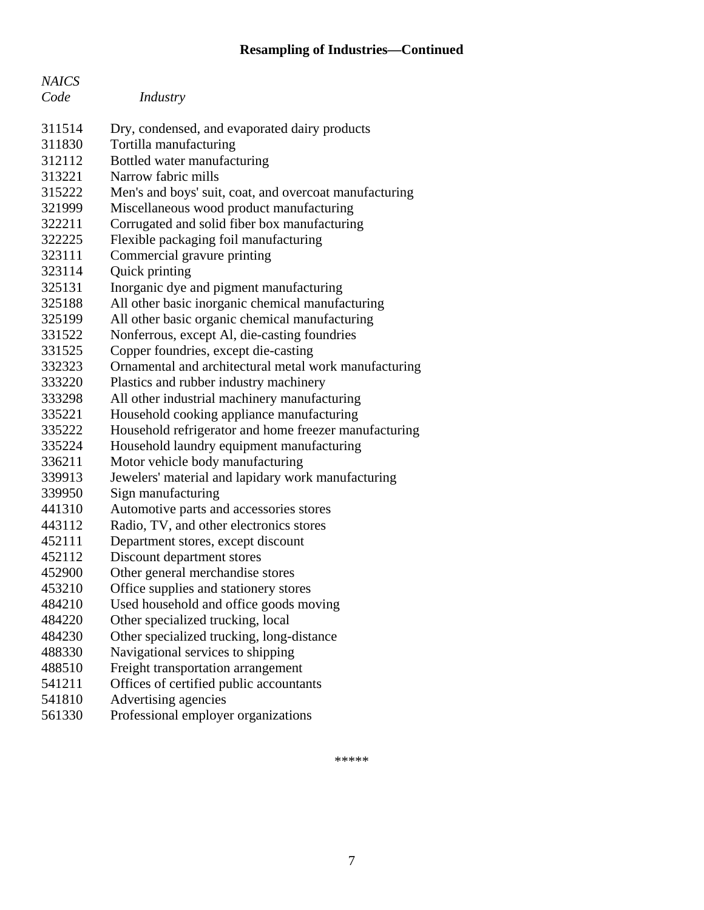# **Resampling of Industries—Continued**

| <b>NAICS</b> |                                                        |
|--------------|--------------------------------------------------------|
| Code         | Industry                                               |
|              |                                                        |
| 311514       | Dry, condensed, and evaporated dairy products          |
| 311830       | Tortilla manufacturing                                 |
| 312112       | Bottled water manufacturing                            |
| 313221       | Narrow fabric mills                                    |
| 315222       | Men's and boys' suit, coat, and overcoat manufacturing |
| 321999       | Miscellaneous wood product manufacturing               |
| 322211       | Corrugated and solid fiber box manufacturing           |
| 322225       | Flexible packaging foil manufacturing                  |
| 323111       | Commercial gravure printing                            |
| 323114       | Quick printing                                         |
| 325131       | Inorganic dye and pigment manufacturing                |
| 325188       | All other basic inorganic chemical manufacturing       |
| 325199       | All other basic organic chemical manufacturing         |
| 331522       | Nonferrous, except Al, die-casting foundries           |
| 331525       | Copper foundries, except die-casting                   |
| 332323       | Ornamental and architectural metal work manufacturing  |
| 333220       | Plastics and rubber industry machinery                 |
| 333298       | All other industrial machinery manufacturing           |
| 335221       | Household cooking appliance manufacturing              |
| 335222       | Household refrigerator and home freezer manufacturing  |
| 335224       | Household laundry equipment manufacturing              |
| 336211       | Motor vehicle body manufacturing                       |
| 339913       | Jewelers' material and lapidary work manufacturing     |
| 339950       | Sign manufacturing                                     |
| 441310       | Automotive parts and accessories stores                |
| 443112       | Radio, TV, and other electronics stores                |
| 452111       | Department stores, except discount                     |
| 452112       | Discount department stores                             |
| 452900       | Other general merchandise stores                       |
| 453210       | Office supplies and stationery stores                  |
| 484210       | Used household and office goods moving                 |
| 484220       | Other specialized trucking, local                      |
| 484230       | Other specialized trucking, long-distance              |
| 488330       | Navigational services to shipping                      |
| 488510       | Freight transportation arrangement                     |
| 541211       | Offices of certified public accountants                |
| 541810       | Advertising agencies                                   |
| 561330       | Professional employer organizations                    |

\*\*\*\*\*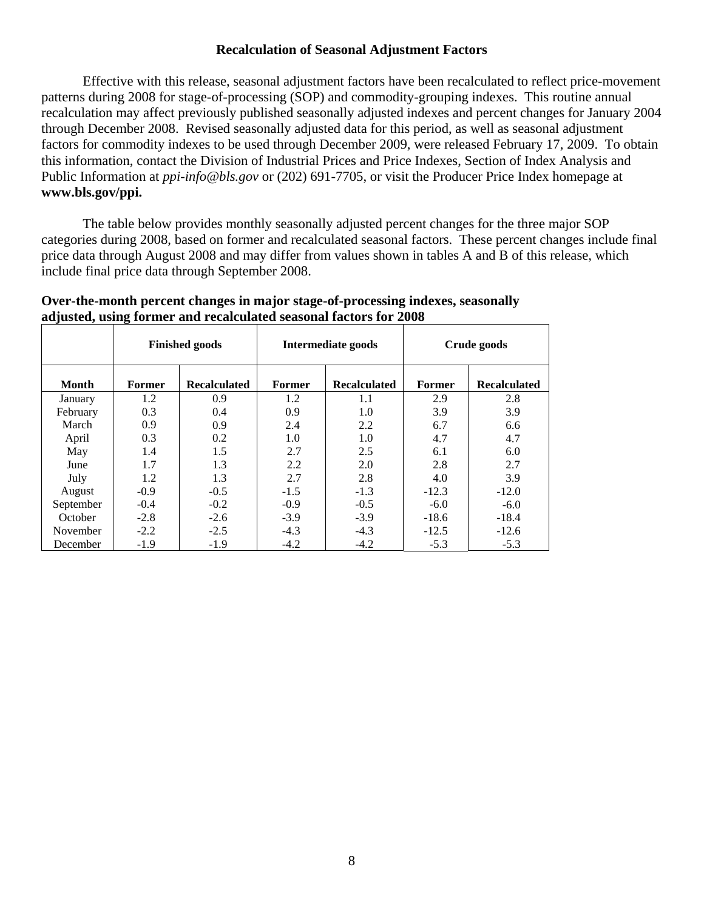## **Recalculation of Seasonal Adjustment Factors**

Effective with this release, seasonal adjustment factors have been recalculated to reflect price-movement patterns during 2008 for stage-of-processing (SOP) and commodity-grouping indexes. This routine annual recalculation may affect previously published seasonally adjusted indexes and percent changes for January 2004 through December 2008. Revised seasonally adjusted data for this period, as well as seasonal adjustment factors for commodity indexes to be used through December 2009, were released February 17, 2009. To obtain this information, contact the Division of Industrial Prices and Price Indexes, Section of Index Analysis and Public Information at *ppi-info@bls.gov* or (202) 691-7705, or visit the Producer Price Index homepage at **www.bls.gov/ppi.**

 The table below provides monthly seasonally adjusted percent changes for the three major SOP categories during 2008, based on former and recalculated seasonal factors. These percent changes include final price data through August 2008 and may differ from values shown in tables A and B of this release, which include final price data through September 2008.

| Over-the-month percent changes in major stage-of-processing indexes, seasonally |  |
|---------------------------------------------------------------------------------|--|
| adjusted, using former and recalculated seasonal factors for 2008               |  |

|              | <b>Finished goods</b> |                     |        | <b>Intermediate goods</b> | Crude goods |                     |
|--------------|-----------------------|---------------------|--------|---------------------------|-------------|---------------------|
| <b>Month</b> | Former                | <b>Recalculated</b> | Former | <b>Recalculated</b>       | Former      | <b>Recalculated</b> |
| January      | 1.2                   | 0.9                 | 1.2    | 1.1                       | 2.9         | 2.8                 |
| February     | 0.3                   | 0.4                 | 0.9    | 1.0                       | 3.9         | 3.9                 |
| March        | 0.9                   | 0.9                 | 2.4    | 2.2                       | 6.7         | 6.6                 |
| April        | 0.3                   | 0.2                 | 1.0    | 1.0                       | 4.7         | 4.7                 |
| May          | 1.4                   | 1.5                 | 2.7    | 2.5                       | 6.1         | 6.0                 |
| June         | 1.7                   | 1.3                 | 2.2    | 2.0                       | 2.8         | 2.7                 |
| July         | 1.2                   | 1.3                 | 2.7    | 2.8                       | 4.0         | 3.9                 |
| August       | $-0.9$                | $-0.5$              | $-1.5$ | $-1.3$                    | $-12.3$     | $-12.0$             |
| September    | $-0.4$                | $-0.2$              | $-0.9$ | $-0.5$                    | $-6.0$      | $-6.0$              |
| October      | $-2.8$                | $-2.6$              | $-3.9$ | $-3.9$                    | $-18.6$     | $-18.4$             |
| November     | $-2.2$                | $-2.5$              | $-4.3$ | $-4.3$                    | $-12.5$     | $-12.6$             |
| December     | $-1.9$                | $-1.9$              | $-4.2$ | $-4.2$                    | $-5.3$      | $-5.3$              |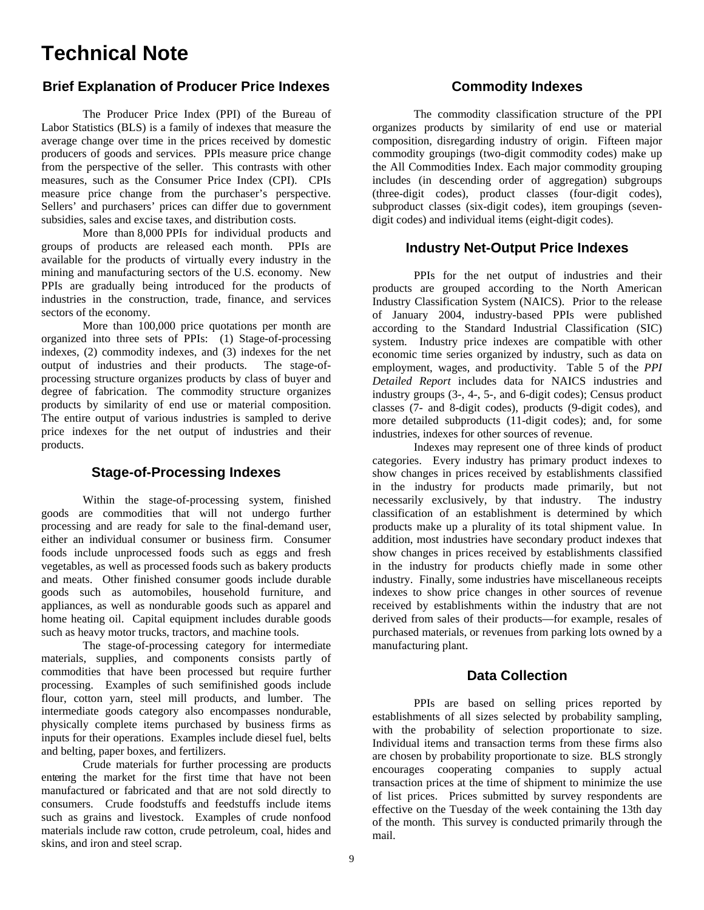# **Technical Note**

## **Brief Explanation of Producer Price Indexes**

The Producer Price Index (PPI) of the Bureau of Labor Statistics (BLS) is a family of indexes that measure the average change over time in the prices received by domestic producers of goods and services. PPIs measure price change from the perspective of the seller. This contrasts with other measures, such as the Consumer Price Index (CPI). CPIs measure price change from the purchaser's perspective. Sellers' and purchasers' prices can differ due to government subsidies, sales and excise taxes, and distribution costs.

 More than 8,000 PPIs for individual products and groups of products are released each month. PPIs are available for the products of virtually every industry in the mining and manufacturing sectors of the U.S. economy. New PPIs are gradually being introduced for the products of industries in the construction, trade, finance, and services sectors of the economy.

More than 100,000 price quotations per month are organized into three sets of PPIs: (1) Stage-of-processing indexes, (2) commodity indexes, and (3) indexes for the net output of industries and their products. The stage-ofprocessing structure organizes products by class of buyer and degree of fabrication. The commodity structure organizes products by similarity of end use or material composition. The entire output of various industries is sampled to derive price indexes for the net output of industries and their products.

## **Stage-of-Processing Indexes**

Within the stage-of-processing system, finished goods are commodities that will not undergo further processing and are ready for sale to the final-demand user, either an individual consumer or business firm. Consumer foods include unprocessed foods such as eggs and fresh vegetables, as well as processed foods such as bakery products and meats. Other finished consumer goods include durable goods such as automobiles, household furniture, and appliances, as well as nondurable goods such as apparel and home heating oil. Capital equipment includes durable goods such as heavy motor trucks, tractors, and machine tools.

 The stage-of-processing category for intermediate materials, supplies, and components consists partly of commodities that have been processed but require further processing. Examples of such semifinished goods include flour, cotton yarn, steel mill products, and lumber. The intermediate goods category also encompasses nondurable, physically complete items purchased by business firms as inputs for their operations. Examples include diesel fuel, belts and belting, paper boxes, and fertilizers.

Crude materials for further processing are products entering the market for the first time that have not been manufactured or fabricated and that are not sold directly to consumers. Crude foodstuffs and feedstuffs include items such as grains and livestock. Examples of crude nonfood materials include raw cotton, crude petroleum, coal, hides and skins, and iron and steel scrap.

### **Commodity Indexes**

The commodity classification structure of the PPI organizes products by similarity of end use or material composition, disregarding industry of origin. Fifteen major commodity groupings (two-digit commodity codes) make up the All Commodities Index. Each major commodity grouping includes (in descending order of aggregation) subgroups (three-digit codes), product classes (four-digit codes), subproduct classes (six-digit codes), item groupings (sevendigit codes) and individual items (eight-digit codes).

#### **Industry Net-Output Price Indexes**

PPIs for the net output of industries and their products are grouped according to the North American Industry Classification System (NAICS). Prior to the release of January 2004, industry-based PPIs were published according to the Standard Industrial Classification (SIC) system. Industry price indexes are compatible with other economic time series organized by industry, such as data on employment, wages, and productivity. Table 5 of the *PPI Detailed Report* includes data for NAICS industries and industry groups (3-, 4-, 5-, and 6-digit codes); Census product classes (7- and 8-digit codes), products (9-digit codes), and more detailed subproducts (11-digit codes); and, for some industries, indexes for other sources of revenue.

 Indexes may represent one of three kinds of product categories. Every industry has primary product indexes to show changes in prices received by establishments classified in the industry for products made primarily, but not necessarily exclusively, by that industry. The industry classification of an establishment is determined by which products make up a plurality of its total shipment value. In addition, most industries have secondary product indexes that show changes in prices received by establishments classified in the industry for products chiefly made in some other industry. Finally, some industries have miscellaneous receipts indexes to show price changes in other sources of revenue received by establishments within the industry that are not derived from sales of their products—for example, resales of purchased materials, or revenues from parking lots owned by a manufacturing plant.

## **Data Collection**

PPIs are based on selling prices reported by establishments of all sizes selected by probability sampling, with the probability of selection proportionate to size. Individual items and transaction terms from these firms also are chosen by probability proportionate to size. BLS strongly encourages cooperating companies to supply actual transaction prices at the time of shipment to minimize the use of list prices. Prices submitted by survey respondents are effective on the Tuesday of the week containing the 13th day of the month. This survey is conducted primarily through the mail.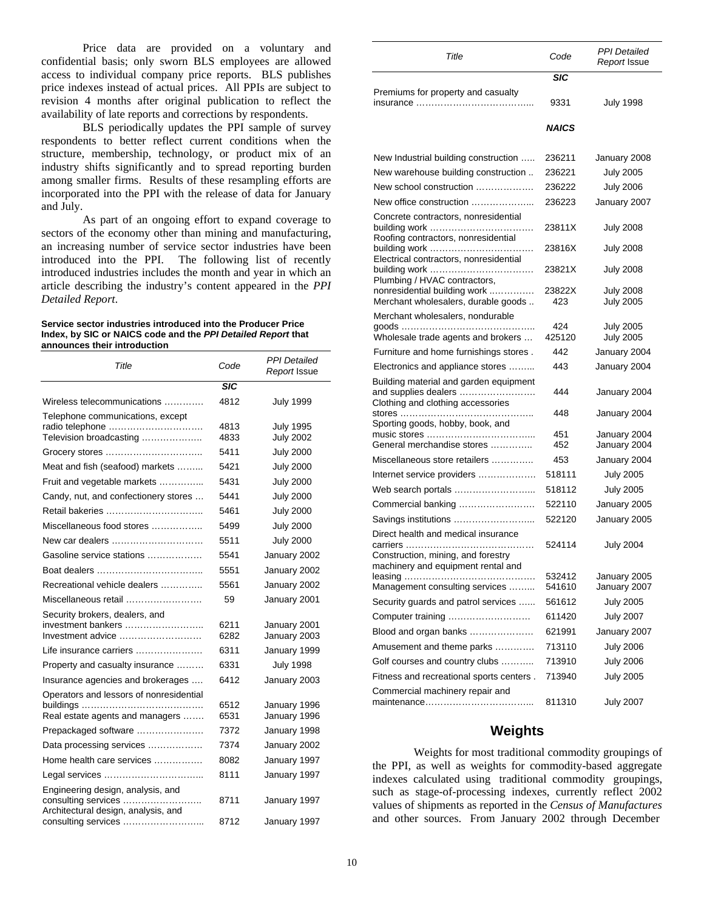Price data are provided on a voluntary and confidential basis; only sworn BLS employees are allowed access to individual company price reports. BLS publishes price indexes instead of actual prices. All PPIs are subject to revision 4 months after original publication to reflect the availability of late reports and corrections by respondents.

 BLS periodically updates the PPI sample of survey respondents to better reflect current conditions when the structure, membership, technology, or product mix of an industry shifts significantly and to spread reporting burden among smaller firms. Results of these resampling efforts are incorporated into the PPI with the release of data for January and July.

 As part of an ongoing effort to expand coverage to sectors of the economy other than mining and manufacturing, an increasing number of service sector industries have been introduced into the PPI. The following list of recently introduced industries includes the month and year in which an article describing the industry's content appeared in the *PPI Detailed Report*.

#### **Service sector industries introduced into the Producer Price Index, by SIC or NAICS code and the** *PPI Detailed Report* **that announces their introduction**

| Title                                                                                           | Code         | PPI Detailed<br>Report Issue |
|-------------------------------------------------------------------------------------------------|--------------|------------------------------|
|                                                                                                 | <b>SIC</b>   |                              |
| Wireless telecommunications                                                                     | 4812         | <b>July 1999</b>             |
| Telephone communications, except                                                                |              |                              |
| radio telephone                                                                                 | 4813         | <b>July 1995</b>             |
| Television broadcasting                                                                         | 4833         | <b>July 2002</b>             |
|                                                                                                 | 5411         | <b>July 2000</b>             |
| Meat and fish (seafood) markets                                                                 | 5421         | <b>July 2000</b>             |
| Fruit and vegetable markets                                                                     | 5431         | <b>July 2000</b>             |
| Candy, nut, and confectionery stores                                                            | 5441         | <b>July 2000</b>             |
| Retail bakeries                                                                                 | 5461         | <b>July 2000</b>             |
| Miscellaneous food stores                                                                       | 5499         | <b>July 2000</b>             |
| New car dealers                                                                                 | 5511         | <b>July 2000</b>             |
| Gasoline service stations                                                                       | 5541         | January 2002                 |
|                                                                                                 | 5551         | January 2002                 |
| Recreational vehicle dealers                                                                    | 5561         | January 2002                 |
| Miscellaneous retail                                                                            | 59           | January 2001                 |
| Security brokers, dealers, and                                                                  |              |                              |
| investment bankers                                                                              | 6211         | January 2001                 |
| Investment advice                                                                               | 6282         | January 2003                 |
| Life insurance carriers                                                                         | 6311         | January 1999                 |
| Property and casualty insurance                                                                 | 6331         | <b>July 1998</b>             |
| Insurance agencies and brokerages                                                               | 6412         | January 2003                 |
| Operators and lessors of nonresidential                                                         |              |                              |
| Real estate agents and managers                                                                 | 6512<br>6531 | January 1996<br>January 1996 |
|                                                                                                 | 7372         |                              |
| Prepackaged software                                                                            |              | January 1998                 |
| Data processing services                                                                        | 7374         | January 2002                 |
| Home health care services                                                                       | 8082         | January 1997                 |
|                                                                                                 | 8111         | January 1997                 |
| Engineering design, analysis, and<br>consulting services<br>Architectural design, analysis, and | 8711         | January 1997                 |
| consulting services                                                                             | 8712         | January 1997                 |

| Title                                                                                               | Code             | PPI Detailed<br>Report Issue |
|-----------------------------------------------------------------------------------------------------|------------------|------------------------------|
|                                                                                                     | SIC              |                              |
| Premiums for property and casualty                                                                  | 9331             | <b>July 1998</b>             |
|                                                                                                     | <b>NAICS</b>     |                              |
| New Industrial building construction                                                                | 236211           | January 2008                 |
| New warehouse building construction                                                                 | 236221           | <b>July 2005</b>             |
| New school construction                                                                             | 236222           | <b>July 2006</b>             |
| New office construction                                                                             | 236223           | January 2007                 |
| Concrete contractors, nonresidential<br>Roofing contractors, nonresidential                         | 23811X           | <b>July 2008</b>             |
| Electrical contractors, nonresidential                                                              | 23816X           | <b>July 2008</b>             |
| Plumbing / HVAC contractors,                                                                        | 23821X           | <b>July 2008</b>             |
| nonresidential building work                                                                        | 23822X           | <b>July 2008</b>             |
| Merchant wholesalers, durable goods                                                                 | 423              | <b>July 2005</b>             |
| Merchant wholesalers, nondurable                                                                    | 424              | <b>July 2005</b>             |
| Wholesale trade agents and brokers                                                                  | 425120           | <b>July 2005</b>             |
| Furniture and home furnishings stores.                                                              | 442              | January 2004                 |
| Electronics and appliance stores                                                                    | 443              | January 2004                 |
| Building material and garden equipment<br>and supplies dealers<br>Clothing and clothing accessories | 444              | January 2004                 |
| stores<br>.<br>Sporting goods, hobby, book, and                                                     | 448              | January 2004                 |
| General merchandise stores                                                                          | 451<br>452       | January 2004<br>January 2004 |
| Miscellaneous store retailers                                                                       | 453              | January 2004                 |
| Internet service providers                                                                          | 518111           | <b>July 2005</b>             |
|                                                                                                     | 518112           | <b>July 2005</b>             |
| Commercial banking                                                                                  | 522110           | January 2005                 |
|                                                                                                     | 522120           | January 2005                 |
| Direct health and medical insurance<br>Construction, mining, and forestry                           | 524114           | <b>July 2004</b>             |
| machinery and equipment rental and<br>Management consulting services                                | 532412<br>541610 | January 2005<br>January 2007 |
| Security guards and patrol services                                                                 | 561612           | <b>July 2005</b>             |
| Computer training                                                                                   | 611420           | <b>July 2007</b>             |
| Blood and organ banks                                                                               | 621991           | January 2007                 |
| Amusement and theme parks                                                                           | 713110           | <b>July 2006</b>             |
| Golf courses and country clubs                                                                      | 713910           | <b>July 2006</b>             |
| Fitness and recreational sports centers.                                                            | 713940           | <b>July 2005</b>             |
| Commercial machinery repair and                                                                     | 811310           | <b>July 2007</b>             |

#### **Weights**

Weights for most traditional commodity groupings of the PPI, as well as weights for commodity-based aggregate indexes calculated using traditional commodity groupings, such as stage-of-processing indexes, currently reflect 2002 values of shipments as reported in the *Census of Manufactures* and other sources. From January 2002 through December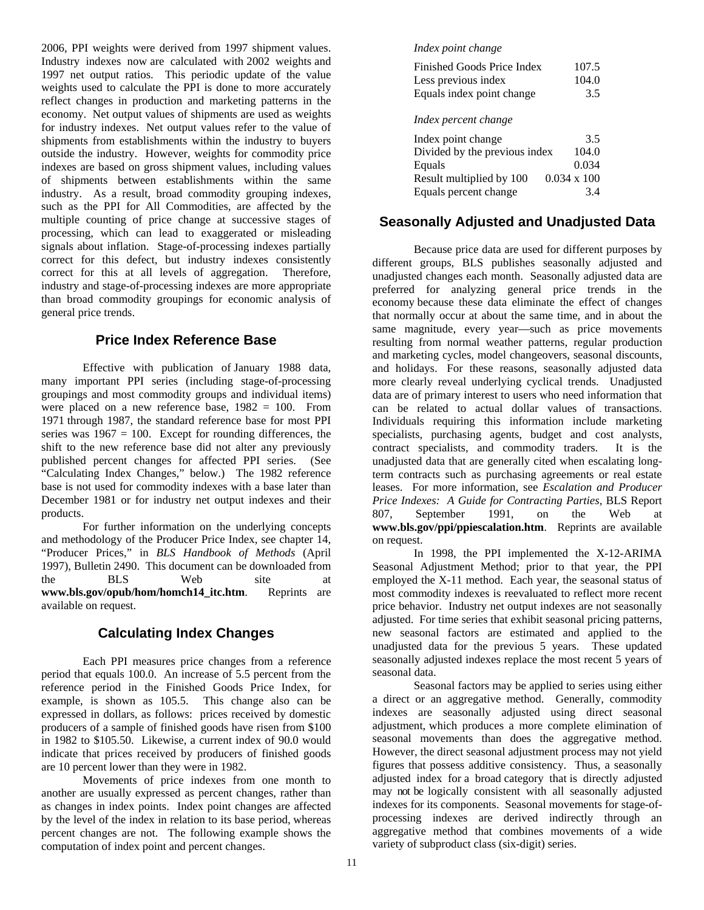2006, PPI weights were derived from 1997 shipment values. Industry indexes now are calculated with 2002 weights and 1997 net output ratios. This periodic update of the value weights used to calculate the PPI is done to more accurately reflect changes in production and marketing patterns in the economy. Net output values of shipments are used as weights for industry indexes. Net output values refer to the value of shipments from establishments within the industry to buyers outside the industry. However, weights for commodity price indexes are based on gross shipment values, including values of shipments between establishments within the same industry. As a result, broad commodity grouping indexes, such as the PPI for All Commodities, are affected by the multiple counting of price change at successive stages of processing, which can lead to exaggerated or misleading signals about inflation. Stage-of-processing indexes partially correct for this defect, but industry indexes consistently correct for this at all levels of aggregation. Therefore, industry and stage-of-processing indexes are more appropriate than broad commodity groupings for economic analysis of general price trends.

## **Price Index Reference Base**

Effective with publication of January 1988 data, many important PPI series (including stage-of-processing groupings and most commodity groups and individual items) were placed on a new reference base, 1982 = 100. From 1971 through 1987, the standard reference base for most PPI series was  $1967 = 100$ . Except for rounding differences, the shift to the new reference base did not alter any previously published percent changes for affected PPI series. (See "Calculating Index Changes," below.) The 1982 reference base is not used for commodity indexes with a base later than December 1981 or for industry net output indexes and their products.

 For further information on the underlying concepts and methodology of the Producer Price Index, see chapter 14, "Producer Prices," in *BLS Handbook of Methods* (April 1997), Bulletin 2490. This document can be downloaded from the BLS Web site at **www.bls.gov/opub/hom/homch14\_itc.htm**. Reprints are available on request.

## **Calculating Index Changes**

Each PPI measures price changes from a reference period that equals 100.0. An increase of 5.5 percent from the reference period in the Finished Goods Price Index, for example, is shown as 105.5. This change also can be expressed in dollars, as follows: prices received by domestic producers of a sample of finished goods have risen from \$100 in 1982 to \$105.50. Likewise, a current index of 90.0 would indicate that prices received by producers of finished goods are 10 percent lower than they were in 1982.

 Movements of price indexes from one month to another are usually expressed as percent changes, rather than as changes in index points. Index point changes are affected by the level of the index in relation to its base period, whereas percent changes are not. The following example shows the computation of index point and percent changes.

#### *Index point change*

| Finished Goods Price Index    | 107.5              |
|-------------------------------|--------------------|
| Less previous index           | 104.0              |
| Equals index point change     | 3.5                |
| Index percent change          |                    |
| Index point change            | 3.5                |
| Divided by the previous index | 104.0              |
| Equals                        | 0.034              |
| Result multiplied by 100      | $0.034 \times 100$ |
| Equals percent change         | 3.4                |

#### **Seasonally Adjusted and Unadjusted Data**

Because price data are used for different purposes by different groups, BLS publishes seasonally adjusted and unadjusted changes each month. Seasonally adjusted data are preferred for analyzing general price trends in the economy because these data eliminate the effect of changes that normally occur at about the same time, and in about the same magnitude, every year—such as price movements resulting from normal weather patterns, regular production and marketing cycles, model changeovers, seasonal discounts, and holidays. For these reasons, seasonally adjusted data more clearly reveal underlying cyclical trends. Unadjusted data are of primary interest to users who need information that can be related to actual dollar values of transactions. Individuals requiring this information include marketing specialists, purchasing agents, budget and cost analysts, contract specialists, and commodity traders. It is the unadjusted data that are generally cited when escalating longterm contracts such as purchasing agreements or real estate leases.For more information, see *Escalation and Producer Price Indexes: A Guide for Contracting Parties,* BLS Report 807, September 1991, on the Web at **www.bls.gov/ppi/ppiescalation.htm**. Reprints are available on request.

In 1998, the PPI implemented the X-12-ARIMA Seasonal Adjustment Method; prior to that year, the PPI employed the X-11 method. Each year, the seasonal status of most commodity indexes is reevaluated to reflect more recent price behavior. Industry net output indexes are not seasonally adjusted. For time series that exhibit seasonal pricing patterns, new seasonal factors are estimated and applied to the unadjusted data for the previous 5 years. These updated seasonally adjusted indexes replace the most recent 5 years of seasonal data.

 Seasonal factors may be applied to series using either a direct or an aggregative method. Generally, commodity indexes are seasonally adjusted using direct seasonal adjustment, which produces a more complete elimination of seasonal movements than does the aggregative method. However, the direct seasonal adjustment process may not yield figures that possess additive consistency. Thus, a seasonally adjusted index for a broad category that is directly adjusted may not be logically consistent with all seasonally adjusted indexes for its components. Seasonal movements for stage-ofprocessing indexes are derived indirectly through an aggregative method that combines movements of a wide variety of subproduct class (six-digit) series.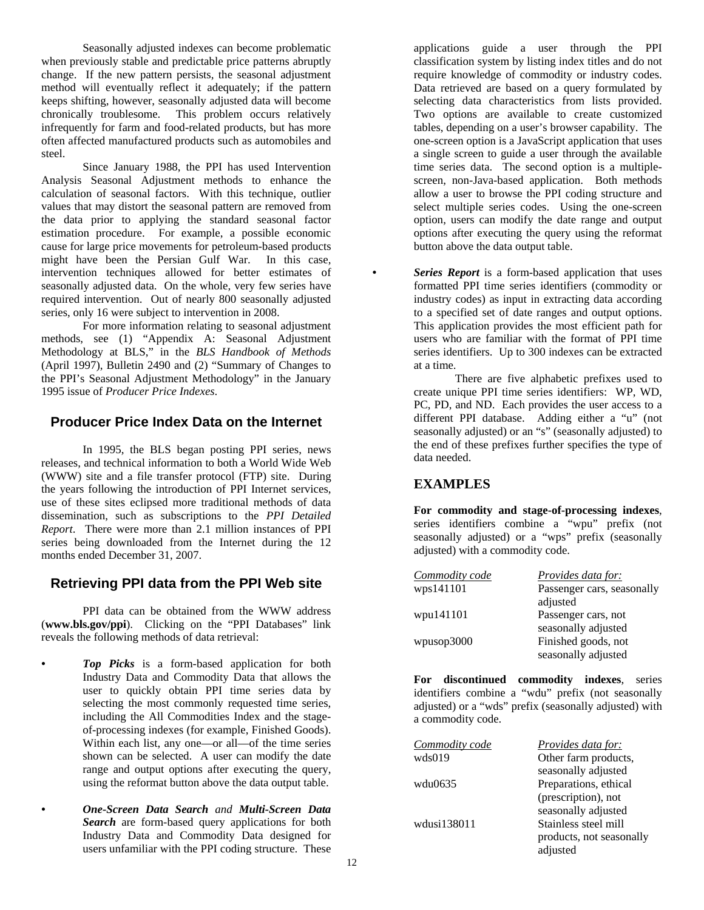Seasonally adjusted indexes can become problematic when previously stable and predictable price patterns abruptly change. If the new pattern persists, the seasonal adjustment method will eventually reflect it adequately; if the pattern keeps shifting, however, seasonally adjusted data will become chronically troublesome. This problem occurs relatively infrequently for farm and food-related products, but has more often affected manufactured products such as automobiles and steel.

Since January 1988, the PPI has used Intervention Analysis Seasonal Adjustment methods to enhance the calculation of seasonal factors. With this technique, outlier values that may distort the seasonal pattern are removed from the data prior to applying the standard seasonal factor estimation procedure. For example, a possible economic cause for large price movements for petroleum-based products might have been the Persian Gulf War. In this case, intervention techniques allowed for better estimates of seasonally adjusted data. On the whole, very few series have required intervention. Out of nearly 800 seasonally adjusted series, only 16 were subject to intervention in 2008.

For more information relating to seasonal adjustment methods, see (1) "Appendix A: Seasonal Adjustment Methodology at BLS," in the *BLS Handbook of Methods* (April 1997), Bulletin 2490 and (2) "Summary of Changes to the PPI's Seasonal Adjustment Methodology" in the January 1995 issue of *Producer Price Indexes*.

#### **Producer Price Index Data on the Internet**

In 1995, the BLS began posting PPI series, news releases, and technical information to both a World Wide Web (WWW) site and a file transfer protocol (FTP) site. During the years following the introduction of PPI Internet services, use of these sites eclipsed more traditional methods of data dissemination, such as subscriptions to the *PPI Detailed Report*. There were more than 2.1 million instances of PPI series being downloaded from the Internet during the 12 months ended December 31, 2007.

#### **Retrieving PPI data from the PPI Web site**

PPI data can be obtained from the WWW address (**www.bls.gov/ppi**). Clicking on the "PPI Databases" link reveals the following methods of data retrieval:

- *Top Picks* is a form-based application for both Industry Data and Commodity Data that allows the user to quickly obtain PPI time series data by selecting the most commonly requested time series, including the All Commodities Index and the stageof-processing indexes (for example, Finished Goods). Within each list, any one—or all—of the time series shown can be selected. A user can modify the date range and output options after executing the query, using the reformat button above the data output table.
- *One-Screen Data Search and Multi-Screen Data Search* are form-based query applications for both Industry Data and Commodity Data designed for users unfamiliar with the PPI coding structure. These

applications guide a user through the PPI classification system by listing index titles and do not require knowledge of commodity or industry codes. Data retrieved are based on a query formulated by selecting data characteristics from lists provided. Two options are available to create customized tables, depending on a user's browser capability. The one-screen option is a JavaScript application that uses a single screen to guide a user through the available time series data. The second option is a multiplescreen, non-Java-based application. Both methods allow a user to browse the PPI coding structure and select multiple series codes. Using the one-screen option, users can modify the date range and output options after executing the query using the reformat button above the data output table.

*Series Report* is a form-based application that uses formatted PPI time series identifiers (commodity or industry codes) as input in extracting data according to a specified set of date ranges and output options. This application provides the most efficient path for users who are familiar with the format of PPI time series identifiers. Up to 300 indexes can be extracted at a time.

 There are five alphabetic prefixes used to create unique PPI time series identifiers: WP, WD, PC, PD, and ND. Each provides the user access to a different PPI database. Adding either a "u" (not seasonally adjusted) or an "s" (seasonally adjusted) to the end of these prefixes further specifies the type of data needed.

#### **EXAMPLES**

**For commodity and stage-of-processing indexes**, series identifiers combine a "wpu" prefix (not seasonally adjusted) or a "wps" prefix (seasonally adjusted) with a commodity code.

| Commodity code | Provides data for:         |
|----------------|----------------------------|
| wps141101      | Passenger cars, seasonally |
|                | adjusted                   |
| wpu141101      | Passenger cars, not        |
|                | seasonally adjusted        |
| wpusop3000     | Finished goods, not        |
|                | seasonally adjusted        |

**For discontinued commodity indexes**, series identifiers combine a "wdu" prefix (not seasonally adjusted) or a "wds" prefix (seasonally adjusted) with a commodity code.

| Commodity code | <i>Provides data for:</i> |
|----------------|---------------------------|
| wds019         | Other farm products,      |
|                | seasonally adjusted       |
| wdu0635        | Preparations, ethical     |
|                | (prescription), not       |
|                | seasonally adjusted       |
| wdusi138011    | Stainless steel mill      |
|                | products, not seasonally  |
|                | adjusted                  |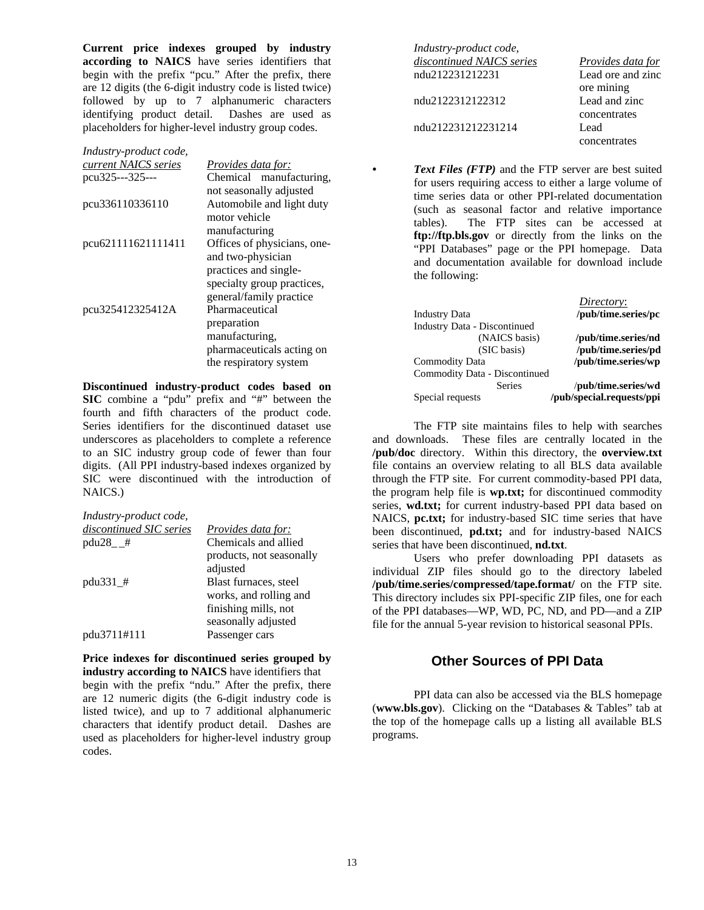**Current price indexes grouped by industry according to NAICS** have series identifiers that begin with the prefix "pcu." After the prefix, there are 12 digits (the 6-digit industry code is listed twice) followed by up to 7 alphanumeric characters identifying product detail. Dashes are used as placeholders for higher-level industry group codes.

| Industry-product code, |                             |
|------------------------|-----------------------------|
| current NAICS series   | <i>Provides data for:</i>   |
| pcu325---325---        | Chemical manufacturing,     |
|                        | not seasonally adjusted     |
| pcu336110336110        | Automobile and light duty   |
|                        | motor vehicle               |
|                        | manufacturing               |
| pcu621111621111411     | Offices of physicians, one- |
|                        | and two-physician           |
|                        | practices and single-       |
|                        | specialty group practices,  |
|                        | general/family practice     |
| pcu325412325412A       | Pharmaceutical              |
|                        | preparation                 |
|                        | manufacturing,              |
|                        | pharmaceuticals acting on   |
|                        | the respiratory system      |

**Discontinued industry-product codes based on SIC** combine a "pdu" prefix and "#" between the fourth and fifth characters of the product code. Series identifiers for the discontinued dataset use underscores as placeholders to complete a reference to an SIC industry group code of fewer than four digits. (All PPI industry-based indexes organized by SIC were discontinued with the introduction of NAICS.)

| Industry-product code,  |                           |
|-------------------------|---------------------------|
| discontinued SIC series | <i>Provides data for:</i> |
| $pdu28$ #               | Chemicals and allied      |
|                         | products, not seasonally  |
|                         | adjusted                  |
| $pdu331$ $#$            | Blast furnaces, steel     |
|                         | works, and rolling and    |
|                         | finishing mills, not      |
|                         | seasonally adjusted       |
| pdu3711#111             | Passenger cars            |

**Price indexes for discontinued series grouped by industry according to NAICS** have identifiers that begin with the prefix "ndu." After the prefix, there are 12 numeric digits (the 6-digit industry code is listed twice), and up to 7 additional alphanumeric characters that identify product detail. Dashes are used as placeholders for higher-level industry group codes.

| Industry-product code,    |                   |
|---------------------------|-------------------|
| discontinued NAICS series | Provides data for |
| ndu212231212231           | Lead ore and zinc |
|                           | ore mining        |
| ndu2122312122312          | Lead and zinc     |
|                           | concentrates      |
| ndu212231212231214        | Lead              |
|                           | concentrates      |

*Text Files (FTP)* and the FTP server are best suited for users requiring access to either a large volume of time series data or other PPI-related documentation (such as seasonal factor and relative importance tables). The FTP sites can be accessed at **ftp://ftp.bls.gov** or directly from the links on the "PPI Databases" page or the PPI homepage. Data and documentation available for download include the following:

|                                     | Directory:                |
|-------------------------------------|---------------------------|
| <b>Industry Data</b>                | /pub/time.series/pc       |
| <b>Industry Data - Discontinued</b> |                           |
| (NAICS basis)                       | /pub/time.series/nd       |
| (SIC basis)                         | /pub/time.series/pd       |
| Commodity Data                      | /pub/time.series/wp       |
| Commodity Data - Discontinued       |                           |
| <b>Series</b>                       | /pub/time.series/wd       |
| Special requests                    | /pub/special.requests/ppi |

The FTP site maintains files to help with searches and downloads. These files are centrally located in the **/pub/doc** directory. Within this directory, the **overview.txt**  file contains an overview relating to all BLS data available through the FTP site. For current commodity-based PPI data, the program help file is **wp.txt;** for discontinued commodity series, **wd.txt;** for current industry-based PPI data based on NAICS, **pc.txt;** for industry-based SIC time series that have been discontinued, **pd.txt;** and for industry-based NAICS series that have been discontinued, **nd.txt**.

Users who prefer downloading PPI datasets as individual ZIP files should go to the directory labeled **/pub/time.series/compressed/tape.format/** on the FTP site. This directory includes six PPI-specific ZIP files, one for each of the PPI databases—WP, WD, PC, ND, and PD—and a ZIP file for the annual 5-year revision to historical seasonal PPIs.

## **Other Sources of PPI Data**

PPI data can also be accessed via the BLS homepage (**www.bls.gov**). Clicking on the "Databases & Tables" tab at the top of the homepage calls up a listing all available BLS programs.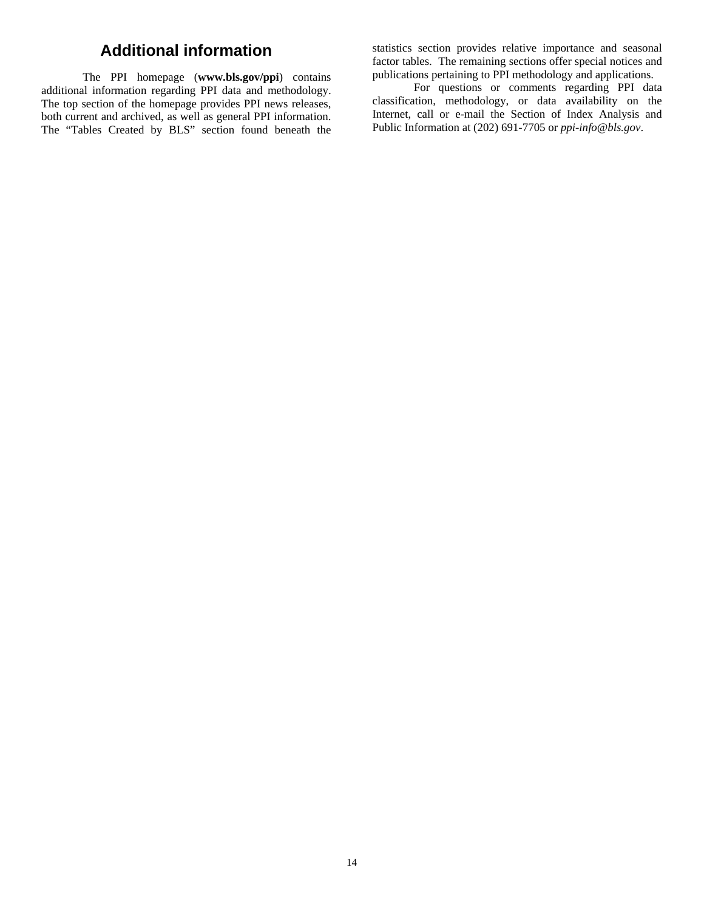# **Additional information**

The PPI homepage (**www.bls.gov/ppi**) contains additional information regarding PPI data and methodology. The top section of the homepage provides PPI news releases, both current and archived, as well as general PPI information. The "Tables Created by BLS" section found beneath the

statistics section provides relative importance and seasonal factor tables. The remaining sections offer special notices and publications pertaining to PPI methodology and applications.

For questions or comments regarding PPI data classification, methodology, or data availability on the Internet, call or e-mail the Section of Index Analysis and Public Information at (202) 691-7705 or *ppi-info@bls.gov*.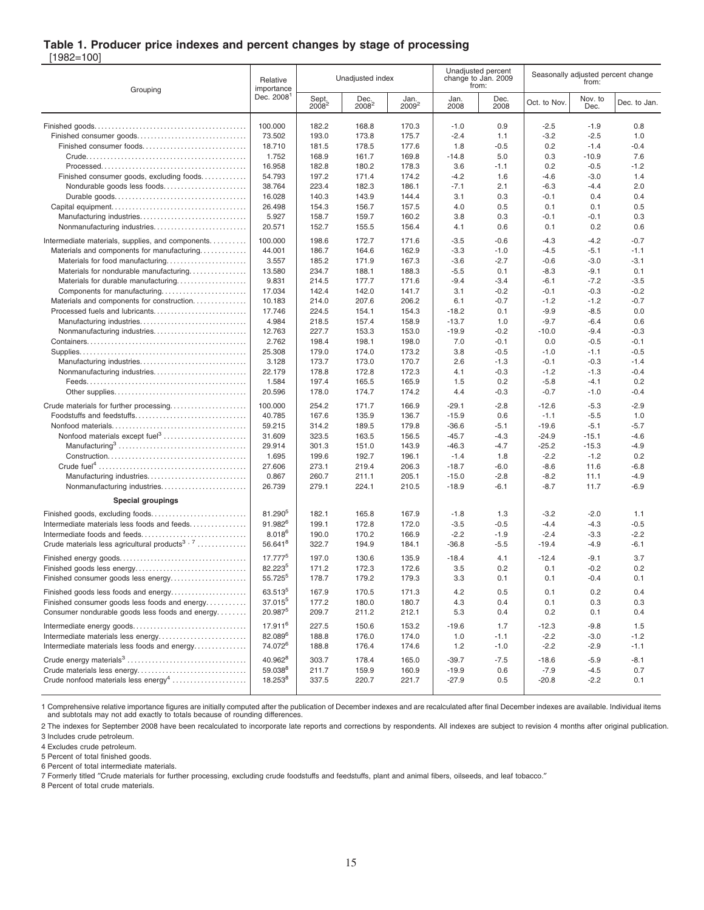#### **Table 1. Producer price indexes and percent changes by stage of processing**

[1982=100]

| Grouping                                                  | Relative<br>importance |                            | Unadjusted index |                  | Unadjusted percent<br>change to Jan. 2009<br>from: |              | Seasonally adjusted percent change<br>from: |                  |              |
|-----------------------------------------------------------|------------------------|----------------------------|------------------|------------------|----------------------------------------------------|--------------|---------------------------------------------|------------------|--------------|
|                                                           | Dec. 2008 <sup>1</sup> | Sept.<br>2008 <sup>2</sup> | Dec.<br>$2008^2$ | Jan.<br>$2009^2$ | Jan.<br>2008                                       | Dec.<br>2008 | Oct. to Nov.                                | Nov. to<br>Dec.  | Dec. to Jan. |
|                                                           | 100.000<br>73.502      | 182.2<br>193.0             | 168.8<br>173.8   | 170.3<br>175.7   | $-1.0$<br>$-2.4$                                   | 0.9<br>1.1   | $-2.5$<br>$-3.2$                            | $-1.9$<br>$-2.5$ | 0.8<br>1.0   |
| Finished consumer foods                                   | 18.710                 | 181.5                      | 178.5            | 177.6            | 1.8                                                | $-0.5$       | 0.2                                         | $-1.4$           | $-0.4$       |
|                                                           | 1.752                  | 168.9                      | 161.7            | 169.8            | $-14.8$                                            | 5.0          | 0.3                                         | $-10.9$          | 7.6          |
|                                                           | 16.958                 | 182.8                      | 180.2            | 178.3            | 3.6                                                | $-1.1$       | 0.2                                         | $-0.5$           | $-1.2$       |
| Finished consumer goods, excluding foods                  | 54.793                 | 197.2                      | 171.4            | 174.2            | $-4.2$                                             | 1.6          | $-4.6$                                      | $-3.0$           | 1.4          |
| Nondurable goods less foods                               | 38.764                 | 223.4                      | 182.3            | 186.1            | $-7.1$                                             | 2.1          | $-6.3$                                      | $-4.4$           | 2.0          |
|                                                           | 16.028                 | 140.3                      | 143.9            | 144.4            | 3.1                                                | 0.3          | $-0.1$                                      | 0.4              | 0.4          |
|                                                           | 26.498                 | 154.3                      | 156.7            | 157.5            | 4.0                                                | 0.5          | 0.1                                         | 0.1              | 0.5          |
|                                                           | 5.927                  | 158.7                      | 159.7            | 160.2            | 3.8                                                | 0.3          | $-0.1$                                      | $-0.1$           | 0.3          |
| Nonmanufacturing industries                               | 20.571                 | 152.7                      | 155.5            | 156.4            | 4.1                                                | 0.6          | 0.1                                         | 0.2              | 0.6          |
| Intermediate materials, supplies, and components          | 100.000                | 198.6                      | 172.7            | 171.6            | $-3.5$                                             | $-0.6$       | $-4.3$                                      | $-4.2$           | $-0.7$       |
| Materials and components for manufacturing                | 44.001                 | 186.7                      | 164.6            | 162.9            | $-3.3$                                             | $-1.0$       | $-4.5$                                      | $-5.1$           | $-1.1$       |
| Materials for food manufacturing                          | 3.557                  | 185.2                      | 171.9            | 167.3            | $-3.6$                                             | $-2.7$       | $-0.6$                                      | $-3.0$           | $-3.1$       |
| Materials for nondurable manufacturing                    | 13.580                 | 234.7                      | 188.1            | 188.3            | $-5.5$                                             | 0.1          | $-8.3$                                      | -9.1             | 0.1          |
| Materials for durable manufacturing                       | 9.831                  | 214.5                      | 177.7            | 171.6            | $-9.4$                                             | $-3.4$       | $-6.1$                                      | $-7.2$           | $-3.5$       |
| Components for manufacturing                              | 17.034                 | 142.4                      | 142.0            | 141.7            | 3.1                                                | $-0.2$       | $-0.1$                                      | $-0.3$           | $-0.2$       |
| Materials and components for construction                 | 10.183                 | 214.0                      | 207.6            | 206.2            | 6.1                                                | $-0.7$       | $-1.2$                                      | $-1.2$           | $-0.7$       |
| Processed fuels and lubricants                            | 17.746                 | 224.5                      | 154.1            | 154.3            | $-18.2$                                            | 0.1          | $-9.9$                                      | $-8.5$           | 0.0          |
|                                                           | 4.984                  | 218.5                      | 157.4            | 158.9            | $-13.7$                                            | 1.0          | $-9.7$                                      | $-6.4$           | 0.6          |
|                                                           | 12.763                 | 227.7                      | 153.3            | 153.0            | $-19.9$                                            | $-0.2$       | $-10.0$                                     | $-9.4$           | $-0.3$       |
|                                                           | 2.762                  | 198.4                      | 198.1            | 198.0            | 7.0                                                | -0.1         | 0.0                                         | $-0.5$           | $-0.1$       |
|                                                           | 25.308                 | 179.0                      | 174.0            | 173.2            | 3.8                                                | $-0.5$       | $-1.0$                                      | $-1.1$           | $-0.5$       |
|                                                           | 3.128                  | 173.7                      | 173.0            | 170.7            | 2.6                                                | $-1.3$       | $-0.1$                                      | $-0.3$           | $-1.4$       |
|                                                           | 22.179                 | 178.8                      | 172.8            | 172.3            | 4.1                                                | -0.3         | $-1.2$                                      | $-1.3$           | $-0.4$       |
|                                                           | 1.584                  | 197.4                      | 165.5            | 165.9            | 1.5                                                | 0.2          | $-5.8$                                      | $-4.1$           | 0.2          |
|                                                           | 20.596                 | 178.0                      | 174.7            | 174.2            | 4.4                                                | $-0.3$       | $-0.7$                                      | $-1.0$           | $-0.4$       |
|                                                           | 100.000                | 254.2                      | 171.7            | 166.9            | $-29.1$                                            | $-2.8$       | $-12.6$                                     | $-5.3$           | $-2.9$       |
|                                                           | 40.785                 | 167.6                      | 135.9            | 136.7            | $-15.9$                                            | 0.6          | $-1.1$                                      | $-5.5$           | 1.0          |
|                                                           | 59.215                 | 314.2                      | 189.5            | 179.8            | $-36.6$                                            | $-5.1$       | $-19.6$                                     | $-5.1$           | $-5.7$       |
|                                                           | 31.609                 | 323.5                      | 163.5            | 156.5            | $-45.7$                                            | $-4.3$       | $-24.9$                                     | $-15.1$          | $-4.6$       |
|                                                           | 29.914                 | 301.3                      | 151.0            | 143.9            | $-46.3$                                            | $-4.7$       | $-25.2$                                     | $-15.3$          | $-4.9$       |
|                                                           | 1.695                  | 199.6                      | 192.7            | 196.1            | $-1.4$                                             | 1.8          | $-2.2$                                      | $-1.2$           | 0.2          |
|                                                           | 27.606                 | 273.1                      | 219.4            | 206.3            | $-18.7$                                            | $-6.0$       | $-8.6$                                      | 11.6             | $-6.8$       |
| Manufacturing industries                                  | 0.867                  | 260.7                      | 211.1            | 205.1            | $-15.0$                                            | $-2.8$       | $-8.2$                                      | 11.1             | $-4.9$       |
| Nonmanufacturing industries                               | 26.739                 | 279.1                      | 224.1            | 210.5            | $-18.9$                                            | -6.1         | $-8.7$                                      | 11.7             | $-6.9$       |
| <b>Special groupings</b>                                  |                        |                            |                  |                  |                                                    |              |                                             |                  |              |
|                                                           | 81.290 <sup>5</sup>    | 182.1                      | 165.8            | 167.9            | -1.8                                               | 1.3          | $-3.2$                                      | $-2.0$           | 1.1          |
| Intermediate materials less foods and feeds               | 91.982 <sup>6</sup>    | 199.1                      | 172.8            | 172.0            | $-3.5$                                             | $-0.5$       | $-4.4$                                      | $-4.3$           | $-0.5$       |
| Intermediate foods and feeds                              | $8.018^{6}$            | 190.0                      | 170.2            | 166.9            | $-2.2$                                             | $-1.9$       | $-2.4$                                      | $-3.3$           | $-2.2$       |
| Crude materials less agricultural products <sup>3,7</sup> | 56.641 <sup>8</sup>    | 322.7                      | 194.9            | 184.1            | $-36.8$                                            | $-5.5$       | $-19.4$                                     | $-4.9$           | $-6.1$       |
|                                                           | 17.777 <sup>5</sup>    | 197.0                      | 130.6            | 135.9            | $-18.4$                                            | 4.1          | $-12.4$                                     | $-9.1$           | 3.7          |
|                                                           | 82.2235                | 171.2                      | 172.3            | 172.6            | 3.5                                                | 0.2          | 0.1                                         | $-0.2$           | 0.2          |
| Finished consumer goods less energy                       | $55.725^5$             | 178.7                      | 179.2            | 179.3            | 3.3                                                | 0.1          | 0.1                                         | -0.4             | 0.1          |
|                                                           |                        |                            |                  |                  |                                                    |              |                                             |                  |              |
| Finished goods less foods and energy                      | 63.5135                | 167.9                      | 170.5            | 171.3            | 4.2                                                | 0.5          | 0.1                                         | 0.2              | 0.4          |
| Finished consumer goods less foods and energy             | 37.0155                | 177.2                      | 180.0            | 180.7            | 4.3                                                | 0.4          | 0.1                                         | 0.3              | 0.3          |
| Consumer nondurable goods less foods and energy           | 20.987 <sup>5</sup>    | 209.7                      | 211.2            | 212.1            | 5.3                                                | 0.4          | 0.2                                         | 0.1              | 0.4          |
|                                                           | 17.911 <sup>6</sup>    | 227.5                      | 150.6            | 153.2            | $-19.6$                                            | 1.7          | $-12.3$                                     | $-9.8$           | 1.5          |
| Intermediate materials less energy                        | 82.089 <sup>6</sup>    | 188.8                      | 176.0            | 174.0            | 1.0                                                | $-1.1$       | $-2.2$                                      | $-3.0$           | $-1.2$       |
| Intermediate materials less foods and energy              | 74.072 <sup>6</sup>    | 188.8                      | 176.4            | 174.6            | 1.2                                                | $-1.0$       | $-2.2$                                      | $-2.9$           | $-1.1$       |
|                                                           | 40.962 <sup>8</sup>    | 303.7                      | 178.4            | 165.0            | $-39.7$                                            | $-7.5$       | $-18.6$                                     | $-5.9$           | $-8.1$       |
|                                                           | 59.038 <sup>8</sup>    | 211.7                      | 159.9            | 160.9            | $-19.9$                                            | 0.6          | $-7.9$                                      | $-4.5$           | 0.7          |
| Crude nonfood materials less energy <sup>4</sup>          | 18.253 <sup>8</sup>    | 337.5                      | 220.7            | 221.7            | $-27.9$                                            | 0.5          | $-20.8$                                     | $-2.2$           | 0.1          |
|                                                           |                        |                            |                  |                  |                                                    |              |                                             |                  |              |

1 Comprehensive relative importance figures are initially computed after the publication of December indexes and are recalculated after final December indexes are available. Individual items<br>and subtotals may not add exact

2 The indexes for September 2008 have been recalculated to incorporate late reports and corrections by respondents. All indexes are subject to revision 4 months after original publication. 3 Includes crude petroleum.

4 Excludes crude petroleum.

5 Percent of total finished goods.

6 Percent of total intermediate materials.

7 Formerly titled ″Crude materials for further processing, excluding crude foodstuffs and feedstuffs, plant and animal fibers, oilseeds, and leaf tobacco.″

8 Percent of total crude materials.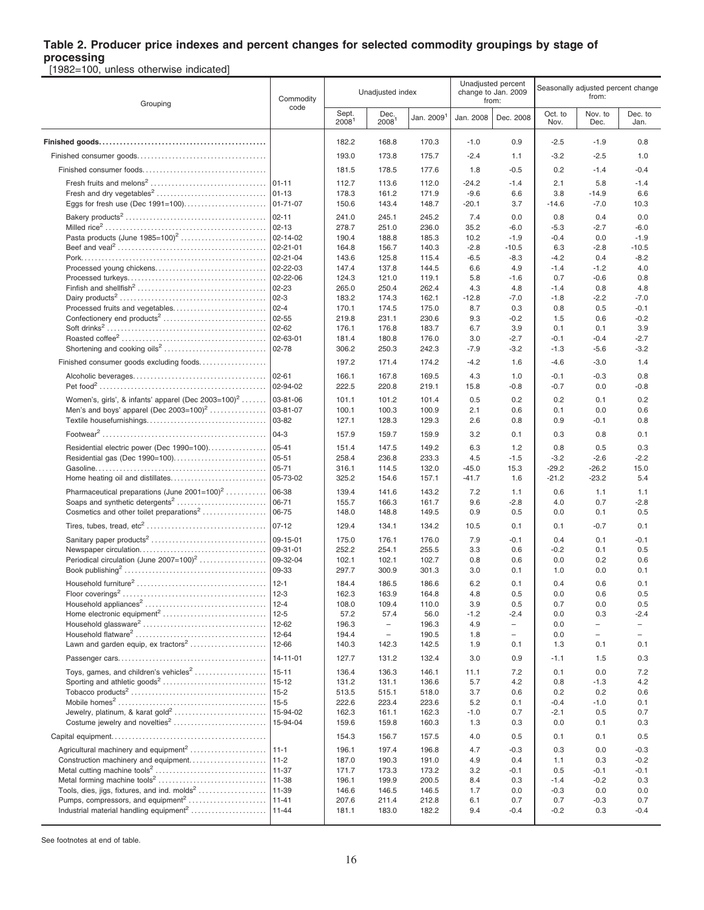**processing** [1982=100, unless otherwise indicated]

Grouping Commodity code Unadiusted index Unadjusted percent change to Jan. 2009 from: Seasonally adjusted percent change from: **Sept.** 2008<sup>1</sup> Dec.<br>2008 Jan. 2009<sup>1</sup> Jan. 2008 | Dec. 2008 Oct. to<br>Nov. Nov. to Dec. Dec. to Jan. **Finished goods. . . . . . . . . . . . . . . . . . . . . . . . . . . . . . . . . . . . . . . . . . . . . . . .** 182.2 168.8 170.3 -1.0 0.9 -2.5 -1.9 0.8 Finished consumer goods. . . . . . . . . . . . . . . . . . . . . . . . . . . . . . . . . . . . . 193.0 173.8 175.7 -2.4 1.1 -3.2 -2.5 1.0 Finished consumer foods. . . . . . . . . . . . . . . . . . . . . . . . . . . . . . . . . . . . 181.5 178.5 177.6 1.8 -0.5 0.2 -1.4 -0.4 Fresh fruits and melons<sup>2</sup> . . . . . . . . . . . . . . . . . . . . . . . . . . . . . . . . . 01-11 112.7 113.6 112.0 -24.2 -1.4 2.1 5.8 -1.4 Fresh and dry vegetables<sup>2</sup> . . . . . . . . . . . . . . . . . . . . . . . . . . . . . . . . 01-13 178.3 161.2 171.9 -9.6 6.6 3.8 -14.9 6.6 Eggs for fresh use (Dec 1991=100). . . . . . . . . . . . . . . . . . . . . . . . 01-71-07 150.6 143.4 148.7 -20.1 3.7 -14.6 -7.0 10.3 Bakery products<sup>2</sup> . . . . . . . . . . . . . . . . . . . . . . . . . . . . . . . . . . . . . . . . . 02-11 241.0 245.1 245.2 7.4 0.0 0.8 0.4 0.0 Milled rice<sup>2</sup> . . . . . . . . . . . . . . . . . . . . . . . . . . . . . . . . . . . . . . . . . . . . . . 02-13 278.7 251.0 236.0 35.2 -6.0 -5.3 -2.7 -6.0 Pasta products (June 1985=100)<sup>2</sup> . . . . . . . . . . . . . . . . . . . . . . . . . 02-14-02 190.4 188.8 185.3 10.2 -1.9 -0.4 0.0 -1.9 Beef and veal<sup>2</sup> . . . . . . . . . . . . . . . . . . . . . . . . . . . . . . . . . . . . . . . . . . . 02-21-01 164.8 156.7 140.3 -2.8 -10.5 6.3 -2.8 -10.5 Pork. . . . . . . . . . . . . . . . . . . . . . . . . . . . . . . . . . . . . . . . . . . . . . . . . . . . . . 02-21-04 143.6 125.8 115.4 -6.5 -8.3 -4.2 0.4 -8.2 Processed young chickens. . . . . . . . . . . . . . . . . . . . . . . . . . . . . . . . 02-22-03 147.4 137.8 144.5 6.6 4.9 -1.4 -1.2 4.0 Processed turkeys. . . . . . . . . . . . . . . . . . . . . . . . . . . . . . . . . . . . . . . . 02-22-06 124.3 121.0 119.1 5.8 -1.6 0.7 -0.6 0.8 Finfish and shellfish<sup>2</sup> . . . . . . . . . . . . . . . . . . . . . . . . . . . . . . . . . . . . . 02-23 265.0 250.4 262.4 4.3 4.8 -1.4 0.8 4.8 Dairy products<sup>2</sup> . . . . . . . . . . . . . . . . . . . . . . . . . . . . . . . . . . . . . . . . . . 02-3 183.2 174.3 162.1 -12.8 -7.0 -1.8 -2.2 -7.0 Processed fruits and vegetables. . . . . . . . . . . . . . . . . . . . . . . . . . . 02-4 170.1 174.5 175.0 8.7 0.3 0.8 0.5 -0.1 Confectionery end products<sup>2</sup> . . . . . . . . . . . . . . . . . . . . . . . . . . . . . . 02-55 219.8 231.1 230.6 9.3 -0.2 1.5 0.6 -0.2 Soft drinks<sup>2</sup> . . . . . . . . . . . . . . . . . . . . . . . . . . . . . . . . . . . . . . . . . . . . . . 02-62 176.1 176.8 183.7 6.7 3.9 0.1 0.1 3.9 Roasted coffee<sup>2</sup> . . . . . . . . . . . . . . . . . . . . . . . . . . . . . . . . . . . . . . . . . . 02-63-01 181.4 180.8 176.0 3.0 -2.7 -0.1 -0.4 -2.7 Shortening and cooking oils<sup>2</sup> . . . . . . . . . . . . . . . . . . . . . . . . . . . . . 02-78 306.2 250.3 242.3 -7.9 -3.2 -1.3 -5.6 -3.2 Finished consumer goods excluding foods. . . . . . . . . . . . . . . . . . | 197.2 171.4 174.2 | -4.2 1.6 | -4.6 -3.0 1.4 Alcoholic beverages. . . . . . . . . . . . . . . . . . . . . . . . . . . . . . . . . . . . . . 02-61 166.1 167.8 169.5 4.3 1.0 -0.1 -0.3 0.8 Pet food<sup>2</sup> . . . . . . . . . . . . . . . . . . . . . . . . . . . . . . . . . . . . . . . . . . . . . . . . 02-94-02 222.5 220.8 219.1 15.8 -0.8 -0.7 0.0 -0.8 Women's, girls', & infants' apparel (Dec 2003=100)<sup>2</sup> ....... ....... |03-81-06 | 101.1 101.2 101.4 | 0.5 0.2 | 0.2 0.1 0.2 Men's and boys' apparel (Dec 2003=100)<sup>2</sup> . . . . . . . . . . . . . . . . 03-81-07 100.1 100.3 100.9 2.1 0.6 0.1 0.0 0.6 Textile housefurnishings. . . . . . . . . . . . . . . . . . . . . . . . . . . . . . . . . . . 03-82 127.1 128.3 129.3 2.6 0.8 0.9 -0.1 0.8 Footwear<sup>2</sup> . . . . . . . . . . . . . . . . . . . . . . . . . . . . . . . . . . . . . . . . . . . . . . . 04-3 157.9 159.7 159.9 3.2 0.1 0.3 0.8 0.1 Residential electric power (Dec 1990=100). . . . . . . . . . . . . . . . . 05-41 151.4 147.5 149.2 6.3 1.2 0.8 0.5 0.3 Residential gas (Dec 1990=100). . . . . . . . . . . . . . . . . . . . . . . . . . . 05-51 258.4 236.8 233.3 4.5 -1.5 -3.2 -2.6 -2.2 Gasoline. . . . . . . . . . . . . . . . . . . . . . . . . . . . . . . . . . . . . . . . . . . . . . . . . 05-71 316.1 114.5 132.0 -45.0 15.3 -29.2 -26.2 15.0 Home heating oil and distillates. . . . . . . . . . . . . . . . . . . . . . . . . . . . 05-73-02 325.2 154.6 157.1 -41.7 1.6 -21.2 -23.2 5.4 Pharmaceutical preparations (June  $2001=100$ )<sup>2</sup> .......... . . . . . . . . . . . 06-38 139.4 141.6 143.2 7.2 1.1 0.6 1.1 1.1 Soaps and synthetic detergents<sup>2</sup> . . . . . . . . . . . . . . . . . . . . . . . . . . 06-71 155.7 166.3 161.7 9.6 -2.8 4.0 0.7 -2.8 Cosmetics and other toilet preparations<sup>2</sup> . . . . . . . . . . . . . . . . . . 06-75 148.0 148.8 149.5 0.9 0.5 0.0 0.1 0.5 Tires, tubes, tread, etc<sup>2</sup> . . . . . . . . . . . . . . . . . . . . . . . . . . . . . . . . . . 07-12 129.4 134.1 134.2 10.5 0.1 0.1 -0.7 0.1 Sanitary paper products<sup>2</sup> . . . . . . . . . . . . . . . . . . . . . . . . . . . . . . . . . 09-15-01 175.0 176.1 176.0 7.9 -0.1 0.4 0.1 -0.1 Newspaper circulation. . . . . . . . . . . . . . . . . . . . . . . . . . . . . . . . . . . . . 09-31-01 252.2 254.1 255.5 3.3 0.6 -0.2 0.1 0.5 Periodical circulation (June 2007=100)<sup>2</sup> . . . . . . . . . . . . . . . . . . . 09-32-04 102.1 102.1 102.7 0.8 0.6 0.0 0.2 0.6 Book publishing<sup>2</sup> . . . . . . . . . . . . . . . . . . . . . . . . . . . . . . . . . . . . . . . . . 09-33 297.7 300.9 301.3 3.0 0.1 1.0 0.0 0.1 Household furniture<sup>2</sup> . . . . . . . . . . . . . . . . . . . . . . . . . . . . . . . . . . . . . 12-1 184.4 186.5 186.6 6.2 0.1 0.4 0.6 0.1 Floor coverings<sup>2</sup> . . . . . . . . . . . . . . . . . . . . . . . . . . . . . . . . . . . . . . . . . 12-3 162.3 163.9 164.8 4.8 0.5 0.0 0.6 0.5 Household appliances<sup>2</sup> . . . . . . . . . . . . . . . . . . . . . . . . . . . . . . . . . . . 12-4 108.0 109.4 110.0 3.9 0.5 0.7 0.0 0.5 Home electronic equipment<sup>2</sup> . . . . . . . . . . . . . . . . . . . . . . . . . . . . . . 12-5 57.2 57.4 56.0 -1.2 -2.4 0.0 0.3 -2.4 Household glassware<sup>2</sup> . . . . . . . . . . . . . . . . . . . . . . . . . . . . . . . . . . . . 12-62 196.3 – 196.3 4.9 – 0.0 – – Household flatware<sup>2</sup> . . . . . . . . . . . . . . . . . . . . . . . . . . . . . . . . . . . . . . 12-64 194.4 – 190.5 1.8 – 0.0 – – Lawn and garden equip, ex tractors<sup>2</sup> . . . . . . . . . . . . . . . . . . . . . . 12-66 140.3 142.3 142.5 1.9 0.1 1.3 0.1 0.1 Passenger cars. . . . . . . . . . . . . . . . . . . . . . . . . . . . . . . . . . . . . . . . . . . 14-11-01 127.7 131.2 132.4 3.0 0.9 -1.1 1.5 0.3 Toys, games, and children's vehicles<sup>2</sup> . . . . . . . . . . . . . . . . . . . . 15-11 136.4 136.3 146.1 11.1 7.2 0.1 0.0 7.2 Sporting and athletic goods<sup>2</sup> . . . . . . . . . . . . . . . . . . . . . . . . . . . . . . 15-12 131.2 131.1 136.6 5.7 4.2 0.8 -1.3 4.2 Tobacco products<sup>2</sup> . . . . . . . . . . . . . . . . . . . . . . . . . . . . . . . . . . . . . . . 15-2 513.5 515.1 518.0 3.7 0.6 0.2 0.2 0.6 Mobile homes<sup>2</sup> . . . . . . . . . . . . . . . . . . . . . . . . . . . . . . . . . . . . . . . . . . . 15-5 222.6 223.4 223.6 5.2 0.1 -0.4 -1.0 0.1 Jewelry, platinum, & karat gold<sup>2</sup> . . . . . . . . . . . . . . . . . . . . . . . . . . 15-94-02 162.3 161.1 162.3 -1.0 0.7 -2.1 0.5 0.7 Costume jewelry and novelties<sup>2</sup> . . . . . . . . . . . . . . . . . . . . . . . . . . . 15-94-04 159.6 159.8 160.3 1.3 0.3 0.0 0.1 0.3 Capital equipment. . . . . . . . . . . . . . . . . . . . . . . . . . . . . . . . . . . . . . . . . . . . . 154.3 156.7 157.5 4.0 0.5 0.1 0.1 0.5 Agricultural machinery and equipment<sup>2</sup> . . . . . . . . . . . . . . . . . . 196.1 197.4 196.8 4.7 -0.3 0.3 0.0 -0.3 Construction machinery and equipment. . . . . . . . . . . . . . . . . . . . . . 11-2 187.0 190.3 191.0 4.9 0.4 1.1 0.3 -0.2 Metal cutting machine tools<sup>2</sup> . . . . . . . . . . . . . . . . . . . . . . . . . . . . . . . . 11-37 171.7 173.3 173.2 3.2 -0.1 0.5 -0.1 -0.1 Metal forming machine tools<sup>2</sup> . . . . . . . . . . . . . . . . . . . . . . . . . . . . . . . 11-38 196.1 199.9 200.5 8.4 0.3 -1.4 -0.2 0.3 Tools, dies, jigs, fixtures, and ind. molds<sup>2</sup> . . . . . . . . . . . . . . . . . . . 11-39 146.6 146.5 146.5 1.7 0.0 -0.3 0.0 0.0 Pumps, compressors, and equipment<sup>2</sup> . . . . . . . . . . . . . . . . . . . . . . 11-41 207.6 211.4 212.8 6.1 0.7 0.7 -0.3 0.7 Industrial material handling equipment<sup>2</sup> . . . . . . . . . . . . . . . . . . . . . . 11-44 181.1 183.0 182.2 9.4 -0.4 -0.2 0.3 -0.4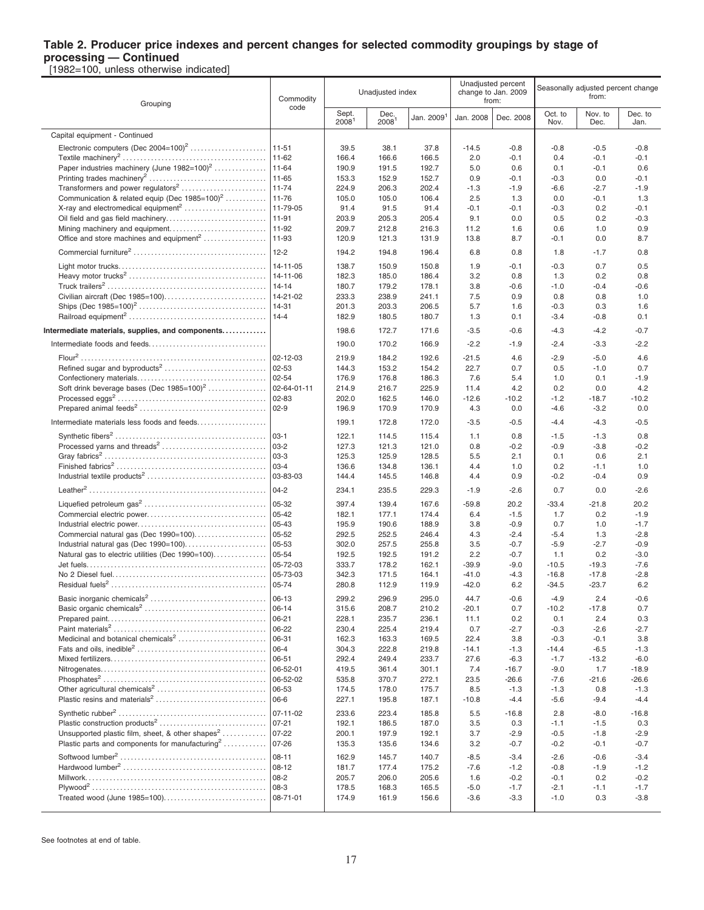**processing — Continued** [1982=100, unless otherwise indicated]

|                                                                 |                        | Unadjusted percent |                  | Seasonally adjusted percent change |                              |                   |                  |                |                  |
|-----------------------------------------------------------------|------------------------|--------------------|------------------|------------------------------------|------------------------------|-------------------|------------------|----------------|------------------|
|                                                                 | Commodity              |                    | Unadjusted index |                                    | change to Jan. 2009<br>from: |                   | from:            |                |                  |
| Grouping                                                        | code                   | Sept.              | Dec.             |                                    |                              |                   | Oct. to          | Nov. to        | Dec. to          |
|                                                                 |                        | 2008 <sup>1</sup>  | 2008             | Jan. 2009 <sup>1</sup>             | Jan. 2008                    | Dec. 2008         | Nov.             | Dec.           | Jan.             |
| Capital equipment - Continued                                   |                        |                    |                  |                                    |                              |                   |                  |                |                  |
|                                                                 |                        | 39.5               | 38.1             | 37.8                               | $-14.5$                      | $-0.8$            | -0.8             | $-0.5$         | $-0.8$           |
|                                                                 |                        | 166.4              | 166.6            | 166.5                              | 2.0                          | $-0.1$            | 0.4              | $-0.1$         | $-0.1$           |
| Paper industries machinery (June 1982=100) <sup>2</sup>         | 11-64                  | 190.9              | 191.5            | 192.7                              | 5.0                          | 0.6               | 0.1              | $-0.1$         | 0.6              |
|                                                                 |                        | 153.3              | 152.9            | 152.7                              | 0.9                          | $-0.1$            | $-0.3$           | 0.0            | $-0.1$           |
| Transformers and power regulators <sup>2</sup>                  | $11 - 74$              | 224.9              | 206.3            | 202.4                              | $-1.3$                       | $-1.9$            | $-6.6$           | $-2.7$         | $-1.9$           |
| Communication & related equip (Dec 1985=100) <sup>2</sup> 11-76 |                        | 105.0              | 105.0            | 106.4                              | 2.5                          | 1.3               | 0.0              | $-0.1$         | 1.3              |
|                                                                 |                        | 91.4               | 91.5             | 91.4                               | $-0.1$                       | $-0.1$            | $-0.3$           | 0.2            | $-0.1$           |
|                                                                 |                        | 203.9              | 205.3            | 205.4                              | 9.1                          | 0.0               | 0.5              | 0.2            | $-0.3$           |
| Mining machinery and equipment                                  | 11-92                  | 209.7              | 212.8            | 216.3                              | 11.2                         | 1.6               | 0.6              | 1.0            | 0.9              |
| Office and store machines and equipment <sup>2</sup>            | 11-93                  | 120.9              | 121.3            | 131.9                              | 13.8                         | 8.7               | $-0.1$           | 0.0            | 8.7              |
|                                                                 | $12 - 2$               | 194.2              | 194.8            | 196.4                              | 6.8                          | 0.8               | 1.8              | $-1.7$         | 0.8              |
|                                                                 |                        |                    |                  |                                    |                              |                   |                  |                |                  |
|                                                                 | $14 - 11 - 05$         | 138.7              | 150.9            | 150.8                              | 1.9                          | -0.1              | $-0.3$           | 0.7            | 0.5              |
|                                                                 | $14 - 14$              | 182.3              | 185.0<br>179.2   | 186.4<br>178.1                     | 3.2                          | 0.8<br>$-0.6$     | 1.3<br>$-1.0$    | 0.2<br>$-0.4$  | 0.8<br>$-0.6$    |
|                                                                 |                        | 180.7<br>233.3     | 238.9            | 241.1                              | 3.8<br>7.5                   | 0.9               | 0.8              | 0.8            | 1.0              |
|                                                                 | 14-31                  | 201.3              | 203.3            | 206.5                              | 5.7                          | 1.6               | $-0.3$           | 0.3            | 1.6              |
|                                                                 |                        | 182.9              | 180.5            | 180.7                              | 1.3                          | 0.1               | $-3.4$           | $-0.8$         | 0.1              |
|                                                                 |                        |                    |                  |                                    |                              |                   |                  |                |                  |
| Intermediate materials, supplies, and components                |                        | 198.6              | 172.7            | 171.6                              | $-3.5$                       | $-0.6$            | $-4.3$           | $-4.2$         | $-0.7$           |
|                                                                 |                        | 190.0              | 170.2            | 166.9                              | $-2.2$                       | $-1.9$            | $-2.4$           | $-3.3$         | $-2.2$           |
|                                                                 |                        | 219.9              | 184.2            | 192.6                              | $-21.5$                      | 4.6               | $-2.9$           | $-5.0$         | 4.6              |
| Refined sugar and byproducts <sup>2</sup>                       | $02 - 53$              | 144.3              | 153.2            | 154.2                              | 22.7                         | 0.7               | 0.5              | $-1.0$         | 0.7              |
|                                                                 |                        | 176.9              | 176.8            | 186.3                              | 7.6                          | 5.4               | 1.0              | 0.1            | $-1.9$           |
| Soft drink beverage bases (Dec $1985=100^2$                     | 02-64-01-11            | 214.9              | 216.7            | 225.9                              | 11.4                         | 4.2               | 0.2              | 0.0            | 4.2              |
|                                                                 |                        | 202.0              | 162.5            | 146.0                              | $-12.6$                      | $-10.2$           | $-1.2$           | $-18.7$        | $-10.2$          |
|                                                                 | $ 02-9$                | 196.9              | 170.9            | 170.9                              | 4.3                          | 0.0               | $-4.6$           | $-3.2$         | 0.0              |
| Intermediate materials less foods and feeds                     |                        | 199.1              | 172.8            | 172.0                              | $-3.5$                       | $-0.5$            | $-4.4$           | $-4.3$         | $-0.5$           |
|                                                                 |                        | 122.1              | 114.5            | 115.4                              | 1.1                          | 0.8               | $-1.5$           | $-1.3$         | 0.8              |
|                                                                 |                        | 127.3              | 121.3            | 121.0                              | 0.8                          | $-0.2$            | $-0.9$           | $-3.8$         | $-0.2$           |
|                                                                 | 03-3                   | 125.3              | 125.9            | 128.5                              | 5.5                          | 2.1               | 0.1              | 0.6            | 2.1              |
|                                                                 | $ 03-4 $               | 136.6              | 134.8            | 136.1                              | 4.4                          | 1.0               | 0.2              | $-1.1$         | 1.0              |
|                                                                 | 03-83-03               | 144.4              | 145.5            | 146.8                              | 4.4                          | 0.9               | $-0.2$           | $-0.4$         | 0.9              |
|                                                                 | $04-2$                 | 234.1              | 235.5            | 229.3                              | $-1.9$                       | $-2.6$            | 0.7              | 0.0            | $-2.6$           |
|                                                                 | 05-32                  | 397.4              | 139.4            | 167.6                              | $-59.8$                      | 20.2              | $-33.4$          | $-21.8$        | 20.2             |
|                                                                 | 05-42                  | 182.1              | 177.1            | 174.4                              | 6.4                          | $-1.5$            | 1.7              | 0.2            | $-1.9$           |
|                                                                 | 05-43                  | 195.9              | 190.6            | 188.9                              | 3.8                          | $-0.9$            | 0.7              | 1.0            | $-1.7$           |
| Commercial natural gas (Dec 1990=100)                           | $05 - 52$              | 292.5              | 252.5            | 246.4                              | 4.3                          | $-2.4$            | $-5.4$           | 1.3            | $-2.8$           |
|                                                                 | 05-53                  | 302.0              | 257.5            | 255.8                              | 3.5                          | $-0.7$            | $-5.9$           | $-2.7$         | $-0.9$           |
| Natural gas to electric utilities (Dec 1990=100)                | 05-54                  | 192.5              | 192.5            | 191.2                              | 2.2                          | $-0.7$            | 1.1              | 0.2            | $-3.0$           |
|                                                                 | 05-72-03               | 333.7              | 178.2            | 162.1                              | $-39.9$                      | $-9.0$            | $-10.5$          | $-19.3$        | $-7.6$           |
|                                                                 | 05-73-03               | 342.3              | 171.5            | 164.1                              | $-41.0$                      | -4.3              | $-16.8$          | $-17.8$        | $-2.8$           |
|                                                                 | 05-74                  | 280.8              | 112.9            | 119.9                              | $-42.0$                      | 6.2               | $-34.5$          | $-23.7$        | 6.2              |
|                                                                 |                        | 299.2              | 296.9            | 295.0                              | 44.7                         | $-0.6$            | $-4.9$           | 2.4            | $-0.6$           |
|                                                                 | $ 06 - 14$             | 315.6              | 208.7            | 210.2                              | $-20.1$                      | 0.7               | $-10.2$          | $-17.8$        | 0.7              |
|                                                                 |                        | 228.1              | 235.7            | 236.1                              | 11.1                         | 0.2               | 0.1              | 2.4            | 0.3              |
|                                                                 | 06-22                  | 230.4              | 225.4            | 219.4                              | 0.7                          | $-2.7$            | $-0.3$           | $-2.6$         | $-2.7$           |
| Medicinal and botanical chemicals <sup>2</sup>                  | 06-31                  | 162.3              | 163.3            | 169.5                              | 22.4                         | 3.8               | $-0.3$           | $-0.1$         | 3.8              |
|                                                                 | $ 06-4 $               | 304.3              | 222.8            | 219.8                              | $-14.1$                      | $-1.3$            | $-14.4$          | $-6.5$         | $-1.3$           |
|                                                                 | 06-51                  | 292.4              | 249.4            | 233.7                              | 27.6                         | $-6.3$            | $-1.7$           | $-13.2$        | $-6.0$           |
|                                                                 | 06-52-01               | 419.5              | 361.4            | 301.1                              | 7.4                          | $-16.7$           | $-9.0$           | 1.7            | $-18.9$          |
|                                                                 | 06-52-02<br>$ 06 - 53$ | 535.8              | 370.7            | 272.1                              | 23.5                         | $-26.6$<br>$-1.3$ | $-7.6$           | $-21.6$<br>0.8 | $-26.6$          |
| Plastic resins and materials <sup>2</sup>                       | 06-6                   | 174.5<br>227.1     | 178.0<br>195.8   | 175.7<br>187.1                     | 8.5<br>$-10.8$               | $-4.4$            | $-1.3$<br>$-5.6$ | $-9.4$         | $-1.3$<br>$-4.4$ |
|                                                                 |                        |                    |                  |                                    |                              |                   |                  |                |                  |
|                                                                 | 07-11-02               | 233.6              | 223.4            | 185.8                              | 5.5                          | $-16.8$           | 2.8              | $-8.0$         | $-16.8$          |
|                                                                 | $07-21$                | 192.1              | 186.5            | 187.0                              | 3.5                          | 0.3               | $-1.1$           | $-1.5$         | 0.3              |
| Unsupported plastic film, sheet, & other shapes <sup>2</sup>    | $07-22$                | 200.1              | 197.9            | 192.1                              | 3.7                          | $-2.9$            | $-0.5$           | $-1.8$         | $-2.9$           |
|                                                                 |                        | 135.3              | 135.6            | 134.6                              | 3.2                          | $-0.7$            | $-0.2$           | $-0.1$         | $-0.7$           |
|                                                                 | 08-11                  | 162.9              | 145.7            | 140.7                              | $-8.5$                       | $-3.4$            | $-2.6$           | $-0.6$         | $-3.4$           |
|                                                                 | 08-12                  | 181.7              | 177.4            | 175.2                              | $-7.6$                       | $-1.2$            | $-0.8$           | $-1.9$         | $-1.2$           |
|                                                                 | 08-2                   | 205.7              | 206.0            | 205.6                              | 1.6                          | $-0.2$            | $-0.1$           | 0.2            | $-0.2$           |
| Treated wood (June 1985=100)                                    |                        | 178.5              | 168.3            | 165.5                              | $-5.0$                       | $-1.7$            | $-2.1$           | $-1.1$         | $-1.7$           |
|                                                                 | 08-71-01               | 174.9              | 161.9            | 156.6                              | $-3.6$                       | $-3.3$            | $-1.0$           | 0.3            | $-3.8$           |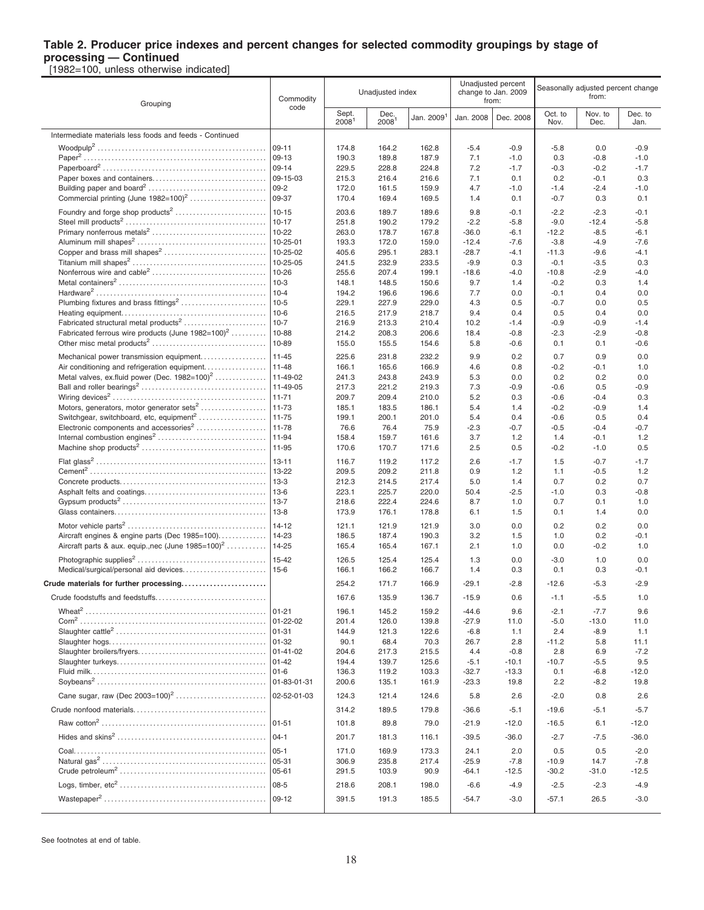**processing — Continued** [1982=100, unless otherwise indicated]

| Grouping                                                             | Commodity        | Unadjusted index<br>code   |                           |                        | from:              | Unadjusted percent<br>change to Jan. 2009 | Seasonally adjusted percent change<br>from: |                  |                 |
|----------------------------------------------------------------------|------------------|----------------------------|---------------------------|------------------------|--------------------|-------------------------------------------|---------------------------------------------|------------------|-----------------|
|                                                                      |                  | Sept.<br>2008 <sup>1</sup> | Dec.<br>2008 <sup>1</sup> | Jan. 2009 <sup>1</sup> | Jan. 2008          | Dec. 2008                                 | Oct. to<br>Nov.                             | Nov. to<br>Dec.  | Dec. to<br>Jan. |
| Intermediate materials less foods and feeds - Continued              |                  |                            |                           |                        |                    |                                           |                                             |                  |                 |
|                                                                      |                  | 174.8                      | 164.2                     | 162.8                  | $-5.4$             | $-0.9$                                    | $-5.8$                                      | 0.0              | $-0.9$          |
|                                                                      | $109-13$         | 190.3                      | 189.8                     | 187.9                  | 7.1                | $-1.0$                                    | 0.3                                         | $-0.8$           | $-1.0$          |
|                                                                      | $ 09-14$         | 229.5                      | 228.8                     | 224.8                  | 7.2                | $-1.7$                                    | $-0.3$                                      | $-0.2$           | $-1.7$          |
|                                                                      |                  | 215.3                      | 216.4                     | 216.6                  | 7.1                | 0.1                                       | 0.2                                         | $-0.1$           | 0.3             |
|                                                                      |                  | 172.0                      | 161.5                     | 159.9                  | 4.7                | $-1.0$                                    | $-1.4$                                      | $-2.4$           | $-1.0$          |
|                                                                      |                  | 170.4                      | 169.4                     | 169.5                  | 1.4                | 0.1                                       | $-0.7$                                      | 0.3              | 0.1             |
|                                                                      |                  | 203.6                      | 189.7                     | 189.6                  | 9.8                | $-0.1$                                    | $-2.2$                                      | $-2.3$           | $-0.1$          |
|                                                                      | $10 - 17$        | 251.8                      | 190.2                     | 179.2                  | $-2.2$             | $-5.8$                                    | $-9.0$                                      | $-12.4$          | $-5.8$          |
|                                                                      | 10-22            | 263.0                      | 178.7                     | 167.8                  | $-36.0$            | $-6.1$                                    | $-12.2$                                     | $-8.5$           | $-6.1$          |
|                                                                      | 10-25-01         | 193.3                      | 172.0                     | 159.0                  | $-12.4$            | $-7.6$                                    | $-3.8$                                      | $-4.9$           | $-7.6$          |
|                                                                      | 10-25-02         | 405.6                      | 295.1                     | 283.1                  | $-28.7$            | $-4.1$                                    | $-11.3$                                     | $-9.6$           | $-4.1$          |
|                                                                      |                  | 241.5                      | 232.9                     | 233.5                  | $-9.9$             | 0.3                                       | $-0.1$                                      | $-3.5$           | 0.3             |
|                                                                      | 10-26            | 255.6                      | 207.4<br>148.5            | 199.1<br>150.6         | $-18.6$            | $-4.0$<br>1.4                             | $-10.8$                                     | $-2.9$<br>0.3    | $-4.0$          |
|                                                                      | $10 - 4$         | 148.1<br>194.2             | 196.6                     | 196.6                  | 9.7<br>7.7         | 0.0                                       | $-0.2$<br>$-0.1$                            | 0.4              | 1.4<br>0.0      |
|                                                                      |                  | 229.1                      | 227.9                     | 229.0                  | 4.3                | 0.5                                       | $-0.7$                                      | 0.0              | 0.5             |
|                                                                      | 10-6             | 216.5                      | 217.9                     | 218.7                  | 9.4                | 0.4                                       | 0.5                                         | 0.4              | 0.0             |
|                                                                      |                  | 216.9                      | 213.3                     | 210.4                  | 10.2               | $-1.4$                                    | $-0.9$                                      | $-0.9$           | $-1.4$          |
| Fabricated ferrous wire products (June $1982=100$ <sup>2</sup> 10-88 |                  | 214.2                      | 208.3                     | 206.6                  | 18.4               | $-0.8$                                    | $-2.3$                                      | $-2.9$           | $-0.8$          |
|                                                                      |                  | 155.0                      | 155.5                     | 154.6                  | 5.8                | $-0.6$                                    | 0.1                                         | 0.1              | $-0.6$          |
|                                                                      |                  | 225.6                      | 231.8                     | 232.2                  | 9.9                | 0.2                                       | 0.7                                         | 0.9              | 0.0             |
|                                                                      |                  | 166.1                      | 165.6                     | 166.9                  | 4.6                | 0.8                                       | $-0.2$                                      | $-0.1$           | 1.0             |
|                                                                      |                  | 241.3                      | 243.8                     | 243.9                  | 5.3                | 0.0                                       | 0.2                                         | 0.2              | 0.0             |
|                                                                      |                  | 217.3                      | 221.2                     | 219.3                  | 7.3                | $-0.9$                                    | $-0.6$                                      | 0.5              | $-0.9$          |
|                                                                      | $11-71$          | 209.7                      | 209.4                     | 210.0                  | 5.2                | 0.3                                       | $-0.6$                                      | $-0.4$           | 0.3             |
|                                                                      |                  | 185.1                      | 183.5                     | 186.1                  | 5.4                | 1.4                                       | $-0.2$                                      | $-0.9$           | 1.4             |
|                                                                      |                  | 199.1                      | 200.1                     | 201.0                  | 5.4                | 0.4                                       | $-0.6$                                      | 0.5              | 0.4             |
|                                                                      |                  | 76.6                       | 76.4                      | 75.9                   | $-2.3$             | $-0.7$                                    | $-0.5$                                      | $-0.4$           | $-0.7$          |
|                                                                      |                  | 158.4                      | 159.7                     | 161.6                  | 3.7                | 1.2                                       | 1.4                                         | $-0.1$           | 1.2             |
|                                                                      |                  | 170.6                      | 170.7                     | 171.6                  | 2.5                | 0.5                                       | $-0.2$                                      | $-1.0$           | 0.5             |
|                                                                      |                  | 116.7                      | 119.2                     | 117.2                  | 2.6                | $-1.7$                                    | 1.5                                         | $-0.7$           | $-1.7$          |
|                                                                      |                  | 209.5                      | 209.2                     | 211.8                  | 0.9                | 1.2                                       | 1.1                                         | $-0.5$           | 1.2             |
|                                                                      |                  | 212.3                      | 214.5                     | 217.4                  | 5.0                | 1.4                                       | 0.7                                         | 0.2              | 0.7             |
|                                                                      |                  | 223.1                      | 225.7                     | 220.0                  | 50.4               | $-2.5$                                    | $-1.0$                                      | 0.3              | $-0.8$          |
|                                                                      |                  | 218.6                      | 222.4                     | 224.6                  | 8.7                | 1.0                                       | 0.7                                         | 0.1              | 1.0             |
|                                                                      |                  | 173.9                      | 176.1                     | 178.8                  | 6.1                | 1.5                                       | 0.1                                         | 1.4              | 0.0             |
|                                                                      |                  | 121.1                      | 121.9                     | 121.9                  | 3.0                | 0.0                                       | 0.2                                         | 0.2              | 0.0             |
|                                                                      |                  | 186.5                      | 187.4                     | 190.3                  | 3.2                | 1.5                                       | 1.0                                         | 0.2              | $-0.1$          |
| Aircraft parts & aux. equip., nec (June 1985=100) <sup>2</sup> 14-25 |                  | 165.4                      | 165.4                     | 167.1                  | 2.1                | 1.0                                       | 0.0                                         | $-0.2$           | 1.0             |
|                                                                      |                  | 126.5                      | 125.4                     | 125.4                  | 1.3                | 0.0                                       | $-3.0$                                      | 1.0              | 0.0             |
|                                                                      |                  | 166.1                      | 166.2                     | 166.7                  | 1.4                | 0.3                                       | 0.1                                         | 0.3              | $-0.1$          |
| Crude materials for further processing                               |                  | 254.2                      | 171.7                     | 166.9                  | $-29.1$            | $-2.8$                                    | $-12.6$                                     | $-5.3$           | $-2.9$          |
|                                                                      |                  |                            |                           |                        |                    |                                           |                                             |                  |                 |
|                                                                      |                  | 167.6                      | 135.9                     | 136.7                  | $-15.9$            | 0.6                                       | -1.1                                        | $-5.5$           | 1.0             |
|                                                                      | $101 - 21$       | 196.1                      | 145.2                     | 159.2                  | $-44.6$            | 9.6                                       | $-2.1$                                      | $-7.7$           | 9.6             |
|                                                                      | $ 01 - 22 - 02 $ | 201.4                      | 126.0                     | 139.8                  | $-27.9$            | 11.0                                      | $-5.0$                                      | $-13.0$          | 11.0            |
|                                                                      | $ 01-31$         | 144.9                      | 121.3                     | 122.6                  | $-6.8$             | 1.1                                       | 2.4                                         | $-8.9$           | 1.1             |
|                                                                      |                  | 90.1                       | 68.4                      | 70.3                   | 26.7               | 2.8                                       | $-11.2$                                     | 5.8              | 11.1            |
|                                                                      | $ 01 - 41 - 02 $ | 204.6                      | 217.3                     | 215.5                  | 4.4                | $-0.8$                                    | 2.8                                         | 6.9              | $-7.2$          |
|                                                                      |                  | 194.4                      | 139.7                     | 125.6                  | $-5.1$             | $-10.1$                                   | $-10.7$                                     | $-5.5$           | 9.5             |
|                                                                      | $ 01 - 6 $       | 136.3<br>200.6             | 119.2<br>135.1            | 103.3<br>161.9         | $-32.7$<br>$-23.3$ | $-13.3$<br>19.8                           | 0.1<br>2.2                                  | $-6.8$<br>$-8.2$ | $-12.0$<br>19.8 |
|                                                                      |                  |                            |                           |                        |                    |                                           |                                             |                  |                 |
|                                                                      |                  | 124.3                      | 121.4                     | 124.6                  | 5.8                | 2.6                                       | $-2.0$                                      | 0.8              | 2.6             |
|                                                                      |                  | 314.2                      | 189.5                     | 179.8                  | $-36.6$            | $-5.1$                                    | $-19.6$                                     | $-5.1$           | $-5.7$          |
|                                                                      |                  | 101.8                      | 89.8                      | 79.0                   | $-21.9$            | $-12.0$                                   | $-16.5$                                     | 6.1              | $-12.0$         |
|                                                                      |                  | 201.7                      | 181.3                     | 116.1                  | $-39.5$            | $-36.0$                                   | $-2.7$                                      | $-7.5$           | $-36.0$         |
|                                                                      | $ 05-1 $         | 171.0                      | 169.9                     | 173.3                  | 24.1               | 2.0                                       | 0.5                                         | 0.5              | $-2.0$          |
|                                                                      | $105 - 31$       | 306.9                      | 235.8                     | 217.4                  | $-25.9$            | $-7.8$                                    | $-10.9$                                     | 14.7             | $-7.8$          |
|                                                                      |                  | 291.5                      | 103.9                     | 90.9                   | -64.1              | $-12.5$                                   | $-30.2$                                     | $-31.0$          | $-12.5$         |
|                                                                      |                  | 218.6                      | 208.1                     | 198.0                  | $-6.6$             | $-4.9$                                    | $-2.5$                                      | $-2.3$           | $-4.9$          |
|                                                                      |                  | 391.5                      | 191.3                     | 185.5                  | -54.7              | $-3.0$                                    | $-57.1$                                     | 26.5             | $-3.0$          |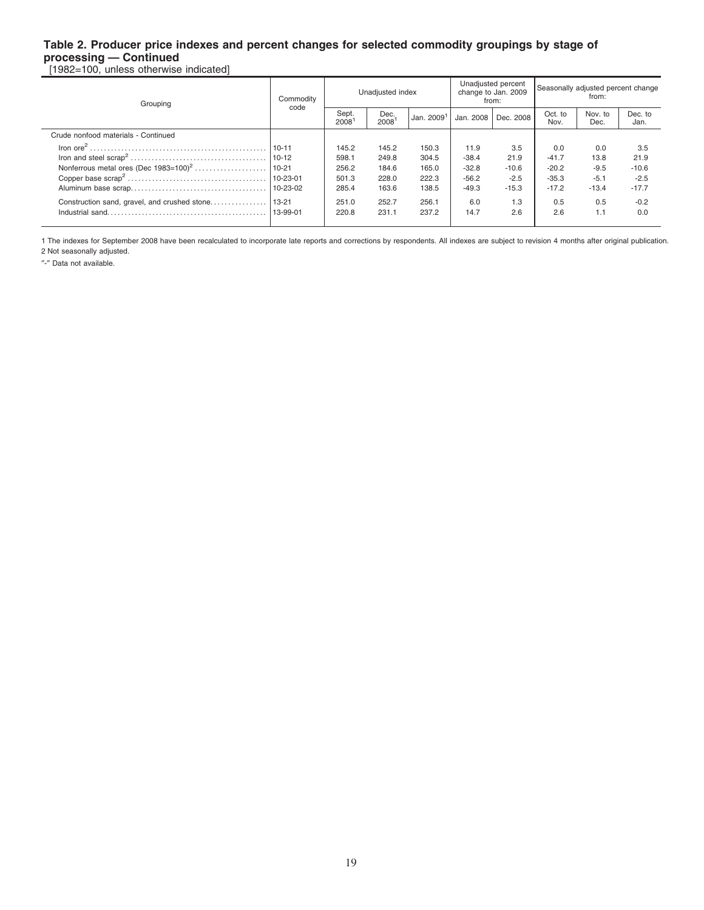**processing — Continued** [1982=100, unless otherwise indicated]

| Grouping                                     | Commodity<br>code | Unadjusted index |                  |                        |           | Unadjusted percent<br>change to Jan. 2009<br>from: | Seasonally adjusted percent change<br>from: |                 |                 |
|----------------------------------------------|-------------------|------------------|------------------|------------------------|-----------|----------------------------------------------------|---------------------------------------------|-----------------|-----------------|
|                                              |                   | Sept.<br>2008    | Dec.<br>$2008^1$ | Jan. 2009 <sup>1</sup> | Jan. 2008 | Dec. 2008                                          | Oct. to<br>Nov.                             | Nov. to<br>Dec. | Dec. to<br>Jan. |
| Crude nonfood materials - Continued          |                   |                  |                  |                        |           |                                                    |                                             |                 |                 |
|                                              | $10 - 11$         | 145.2            | 145.2            | 150.3                  | 11.9      | 3.5                                                | 0.0                                         | 0.0             | 3.5             |
|                                              | $110 - 12$        | 598.1            | 249.8            | 304.5                  | $-38.4$   | 21.9                                               | $-41.7$                                     | 13.8            | 21.9            |
|                                              |                   | 256.2            | 184.6            | 165.0                  | $-32.8$   | $-10.6$                                            | $-20.2$                                     | $-9.5$          | $-10.6$         |
|                                              | $10 - 23 - 01$    | 501.3            | 228.0            | 222.3                  | $-56.2$   | $-2.5$                                             | $-35.3$                                     | $-5.1$          | $-2.5$          |
|                                              | $10 - 23 - 02$    | 285.4            | 163.6            | 138.5                  | $-49.3$   | $-15.3$                                            | $-17.2$                                     | $-13.4$         | $-17.7$         |
| Construction sand, gravel, and crushed stone | $13 - 21$         | 251.0            | 252.7            | 256.1                  | 6.0       | 1.3                                                | 0.5                                         | 0.5             | $-0.2$          |
|                                              | 13-99-01          | 220.8            | 231.1            | 237.2                  | 14.7      | 2.6                                                | 2.6                                         | 1.1             | 0.0             |
|                                              |                   |                  |                  |                        |           |                                                    |                                             |                 |                 |

1 The indexes for September 2008 have been recalculated to incorporate late reports and corrections by respondents. All indexes are subject to revision 4 months after original publication. 2 Not seasonally adjusted.

″-″ Data not available.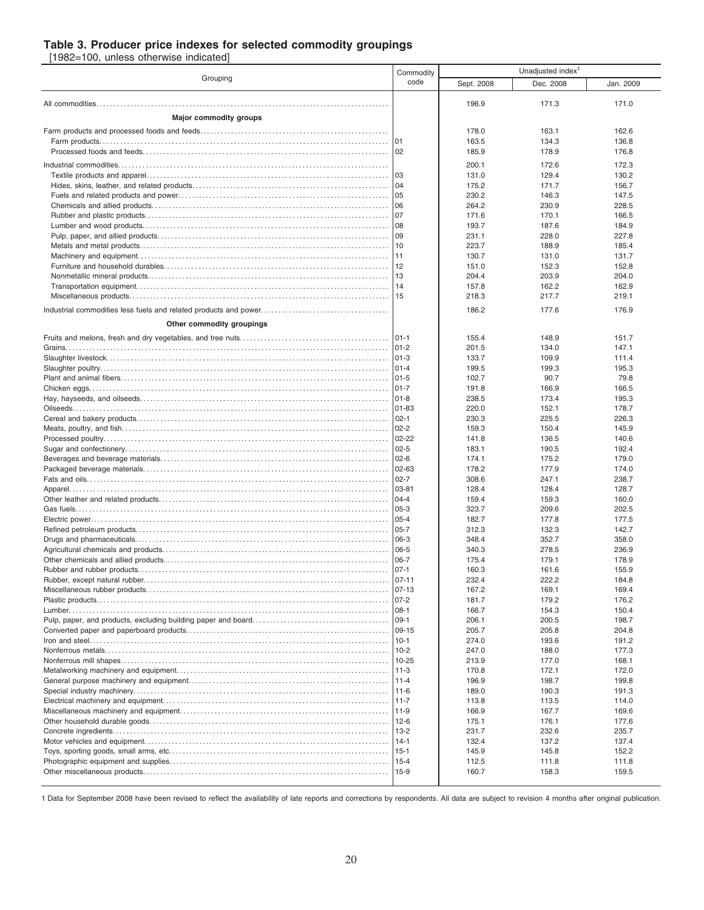#### **Table 3. Producer price indexes for selected commodity groupings**

[1982=100, unless otherwise indicated]

|                               | Commodity              | Unadjusted index <sup>1</sup> |                |                |  |  |
|-------------------------------|------------------------|-------------------------------|----------------|----------------|--|--|
| Grouping                      | code                   | Sept. 2008                    | Dec. 2008      | Jan. 2009      |  |  |
|                               |                        | 196.9                         | 171.3          | 171.0          |  |  |
|                               |                        |                               |                |                |  |  |
| <b>Major commodity groups</b> |                        |                               |                |                |  |  |
|                               |                        | 178.0<br>163.5                | 163.1<br>134.3 | 162.6<br>136.8 |  |  |
|                               |                        | 185.9                         | 178.9          | 176.8          |  |  |
|                               |                        |                               |                |                |  |  |
|                               |                        | 200.1<br>131.0                | 172.6<br>129.4 | 172.3<br>130.2 |  |  |
|                               | 104                    | 175.2                         | 171.7          | 156.7          |  |  |
|                               | l 05                   | 230.2                         | 146.3          | 147.5          |  |  |
|                               | 06                     | 264.2                         | 230.9          | 228.5          |  |  |
|                               | l 07                   | 171.6                         | 170.1          | 166.5          |  |  |
|                               | 08                     | 193.7                         | 187.6          | 184.9          |  |  |
|                               | 09                     | 231.1                         | 228.0          | 227.8          |  |  |
|                               | 10<br> 11              | 223.7<br>130.7                | 188.9<br>131.0 | 185.4<br>131.7 |  |  |
|                               |                        | 151.0                         | 152.3          | 152.8          |  |  |
|                               | 13                     | 204.4                         | 203.9          | 204.0          |  |  |
|                               |                        | 157.8                         | 162.2          | 162.9          |  |  |
|                               |                        | 218.3                         | 217.7          | 219.1          |  |  |
|                               |                        | 186.2                         | 177.6          | 176.9          |  |  |
| Other commodity groupings     |                        |                               |                |                |  |  |
|                               |                        | 155.4                         | 148.9          | 151.7          |  |  |
|                               |                        | 201.5                         | 134.0          | 147.1          |  |  |
|                               |                        | 133.7                         | 109.9          | 111.4          |  |  |
|                               |                        | 199.5                         | 199.3          | 195.3          |  |  |
|                               | $101 - 5$              | 102.7                         | 90.7           | 79.8           |  |  |
|                               | $ 01-7$                | 191.8                         | 166.9          | 166.5          |  |  |
|                               | $ 01-8$                | 238.5                         | 173.4          | 195.3          |  |  |
|                               | $ 01 - 83$<br>$ 02-1 $ | 220.0<br>230.3                | 152.1<br>225.5 | 178.7<br>226.3 |  |  |
|                               | $02 - 2$               | 159.3                         | 150.4          | 145.9          |  |  |
|                               |                        | 141.8                         | 136.5          | 140.6          |  |  |
|                               | $02 - 5$               | 183.1                         | 190.5          | 192.4          |  |  |
|                               |                        | 174.1                         | 175.2          | 179.0          |  |  |
|                               | $102 - 63$             | 178.2                         | 177.9          | 174.0          |  |  |
|                               |                        | 308.6                         | 247.1          | 238.7          |  |  |
|                               | $ 03-81$<br>$104 - 4$  | 128.4<br>159.4                | 128.4<br>159.3 | 128.7<br>160.0 |  |  |
|                               | 05-3                   | 323.7                         | 209.6          | 202.5          |  |  |
|                               | $105 - 4$              | 182.7                         | 177.8          | 177.5          |  |  |
|                               | $ 05-7$                | 312.3                         | 132.3          | 142.7          |  |  |
|                               | 06-3                   | 348.4                         | 352.7          | 358.0          |  |  |
|                               | 06-5                   | 340.3                         | 278.5          | 236.9          |  |  |
|                               | 06-7                   | 175.4                         | 179.1          | 178.9          |  |  |
|                               | $ 07-1 $               | 160.3                         | 161.6          | 155.9          |  |  |
|                               |                        | 232.4<br>167.2                | 222.2<br>169.1 | 184.8<br>169.4 |  |  |
|                               |                        | 181.7                         | 179.2          | 176.2          |  |  |
|                               |                        | 166.7                         | 154.3          | 150.4          |  |  |
|                               |                        | 206.1                         | 200.5          | 198.7          |  |  |
|                               |                        | 205.7                         | 205.8          | 204.8          |  |  |
|                               |                        | 274.0                         | 193.6          | 191.2          |  |  |
|                               |                        | 247.0                         | 188.0          | 177.3          |  |  |
|                               |                        | 213.9<br>170.8                | 177.0<br>172.1 | 168.1<br>172.0 |  |  |
|                               |                        | 196.9                         | 198.7          | 199.8          |  |  |
|                               |                        | 189.0                         | 190.3          | 191.3          |  |  |
|                               |                        | 113.8                         | 113.5          | 114.0          |  |  |
|                               |                        | 166.9                         | 167.7          | 169.6          |  |  |
|                               |                        | 175.1                         | 176.1          | 177.6          |  |  |
|                               |                        | 231.7                         | 232.6          | 235.7          |  |  |
|                               |                        | 132.4<br>145.9                | 137.2<br>145.8 | 137.4<br>152.2 |  |  |
|                               |                        | 112.5                         | 111.8          | 111.8          |  |  |
|                               |                        | 160.7                         | 158.3          | 159.5          |  |  |
|                               |                        |                               |                |                |  |  |

1 Data for September 2008 have been revised to reflect the availability of late reports and corrections by respondents. All data are subject to revision 4 months after original publication.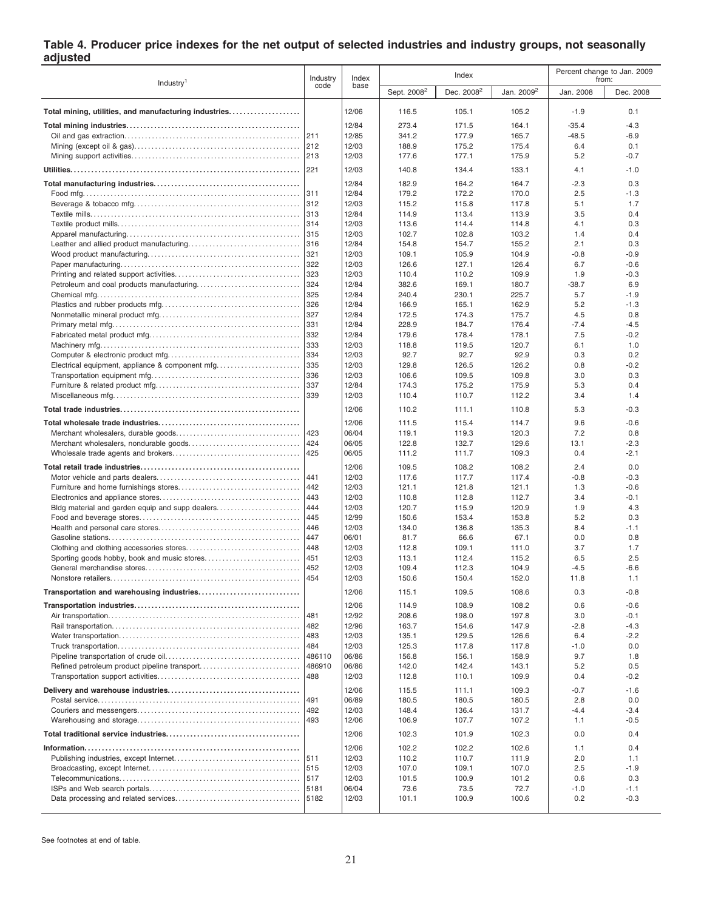#### **Table 4. Producer price indexes for the net output of selected industries and industry groups, not seasonally adjusted**

|                                                       |        | Index |                         | Index                  | Percent change to Jan. 2009<br>from: |           |           |
|-------------------------------------------------------|--------|-------|-------------------------|------------------------|--------------------------------------|-----------|-----------|
| Industry <sup>1</sup>                                 | code   | base  | Sept. 2008 <sup>2</sup> | Dec. 2008 <sup>2</sup> | Jan. 2009 <sup>2</sup>               | Jan. 2008 | Dec. 2008 |
| Total mining, utilities, and manufacturing industries |        | 12/06 | 116.5                   | 105.1                  | 105.2                                | $-1.9$    | 0.1       |
|                                                       |        | 12/84 | 273.4                   | 171.5                  | 164.1                                | $-35.4$   | $-4.3$    |
|                                                       | 211    | 12/85 | 341.2                   | 177.9                  | 165.7                                | $-48.5$   | $-6.9$    |
|                                                       | 212    | 12/03 | 188.9                   | 175.2                  | 175.4                                | 6.4       | 0.1       |
|                                                       | 213    | 12/03 |                         | 177.1                  |                                      | 5.2       | $-0.7$    |
|                                                       | 221    | 12/03 | 177.6<br>140.8          | 134.4                  | 175.9<br>133.1                       | 4.1       | $-1.0$    |
|                                                       |        | 12/84 | 182.9                   | 164.2                  | 164.7                                | $-2.3$    | 0.3       |
|                                                       | 311    | 12/84 | 179.2                   | 172.2                  | 170.0                                | 2.5       | $-1.3$    |
|                                                       | 312    | 12/03 | 115.2                   | 115.8                  | 117.8                                | 5.1       | 1.7       |
|                                                       | 1313   | 12/84 | 114.9                   | 113.4                  | 113.9                                | 3.5       | 0.4       |
|                                                       | 314    | 12/03 | 113.6                   | 114.4                  | 114.8                                | 4.1       | 0.3       |
|                                                       |        | 12/03 | 102.7                   | 102.8                  | 103.2                                | 1.4       | 0.4       |
|                                                       | 316    | 12/84 | 154.8                   | 154.7                  | 155.2                                | 2.1       | 0.3       |
|                                                       | 321    | 12/03 | 109.1                   | 105.9                  | 104.9                                | $-0.8$    | $-0.9$    |
|                                                       |        |       |                         |                        |                                      |           |           |
|                                                       | 322    | 12/03 | 126.6                   | 127.1                  | 126.4                                | 6.7       | $-0.6$    |
|                                                       | 323    | 12/03 | 110.4                   | 110.2                  | 109.9                                | 1.9       | $-0.3$    |
|                                                       | 324    | 12/84 | 382.6                   | 169.1                  | 180.7                                | $-38.7$   | 6.9       |
|                                                       | 325    | 12/84 | 240.4                   | 230.1                  | 225.7                                | 5.7       | $-1.9$    |
|                                                       | 326    | 12/84 | 166.9                   | 165.1                  | 162.9                                | 5.2       | $-1.3$    |
|                                                       | 327    | 12/84 | 172.5                   | 174.3                  | 175.7                                | 4.5       | 0.8       |
|                                                       | 331    | 12/84 | 228.9                   | 184.7                  | 176.4                                | $-7.4$    | $-4.5$    |
|                                                       | 332    | 12/84 | 179.6                   | 178.4                  | 178.1                                | 7.5       | $-0.2$    |
|                                                       | 333    | 12/03 | 118.8                   | 119.5                  | 120.7                                | 6.1       | 1.0       |
|                                                       | 334    | 12/03 | 92.7                    | 92.7                   | 92.9                                 | 0.3       | 0.2       |
| Electrical equipment, appliance & component mfq       | 335    | 12/03 | 129.8                   | 126.5                  | 126.2                                | 0.8       | -0.2      |
|                                                       | 336    | 12/03 | 106.6                   | 109.5                  | 109.8                                | 3.0       | 0.3       |
|                                                       | 337    | 12/84 | 174.3                   | 175.2                  | 175.9                                | 5.3       | 0.4       |
|                                                       | 339    | 12/03 | 110.4                   | 110.7                  | 112.2                                | 3.4       | 1.4       |
|                                                       |        | 12/06 | 110.2                   | 111.1                  | 110.8                                | 5.3       | $-0.3$    |
|                                                       |        | 12/06 | 111.5                   | 115.4                  | 114.7                                | 9.6       | $-0.6$    |
|                                                       | 423    | 06/04 | 119.1                   | 119.3                  | 120.3                                | 7.2       | 0.8       |
|                                                       | 424    | 06/05 | 122.8                   | 132.7                  | 129.6                                | 13.1      | $-2.3$    |
|                                                       | 425    | 06/05 | 111.2                   | 111.7                  | 109.3                                | 0.4       | $-2.1$    |
|                                                       |        | 12/06 | 109.5                   | 108.2                  | 108.2                                | 2.4       | 0.0       |
|                                                       | 441    | 12/03 | 117.6                   | 117.7                  | 117.4                                | $-0.8$    | $-0.3$    |
|                                                       | 442    | 12/03 | 121.1                   | 121.8                  | 121.1                                | 1.3       | $-0.6$    |
|                                                       | 443    | 12/03 | 110.8                   | 112.8                  | 112.7                                | 3.4       | $-0.1$    |
| Bldg material and garden equip and supp dealers       | 444    | 12/03 | 120.7                   | 115.9                  | 120.9                                | 1.9       | 4.3       |
|                                                       | 445    | 12/99 | 150.6                   | 153.4                  | 153.8                                | 5.2       | 0.3       |
|                                                       | 446    | 12/03 | 134.0                   | 136.8                  | 135.3                                | 8.4       | $-1.1$    |
|                                                       | 447    | 06/01 | 81.7                    | 66.6                   | 67.1                                 | 0.0       | 0.8       |
|                                                       | 448    | 12/03 | 112.8                   | 109.1                  |                                      | 3.7       | 1.7       |
|                                                       |        |       |                         |                        | 111.0                                |           |           |
|                                                       |        | 12/03 | 113.1                   | 112.4                  | 115.2                                | 6.5       | 2.5       |
|                                                       | 452    | 12/03 | 109.4                   | 112.3                  | 104.9                                | $-4.5$    | $-6.6$    |
|                                                       | 454    | 12/03 | 150.6                   | 150.4                  | 152.0                                | 11.8      | 1.1       |
| Transportation and warehousing industries             |        | 12/06 | 115.1                   | 109.5                  | 108.6                                | 0.3       | $-0.8$    |
|                                                       |        | 12/06 | 114.9                   | 108.9                  | 108.2                                | 0.6       | $-0.6$    |
|                                                       | 481    | 12/92 | 208.6                   | 198.0                  | 197.8                                | 3.0       | $-0.1$    |
|                                                       | 482    | 12/96 | 163.7                   | 154.6                  | 147.9                                | $-2.8$    | $-4.3$    |
|                                                       | 483    | 12/03 | 135.1                   | 129.5                  | 126.6                                | 6.4       | $-2.2$    |
|                                                       | 484    | 12/03 | 125.3                   | 117.8                  | 117.8                                | $-1.0$    | 0.0       |
|                                                       | 486110 | 06/86 | 156.8                   | 156.1                  | 158.9                                | 9.7       | 1.8       |
|                                                       | 486910 | 06/86 | 142.0                   | 142.4                  | 143.1                                | 5.2       | 0.5       |
|                                                       | 488    | 12/03 | 112.8                   | 110.1                  | 109.9                                | 0.4       | $-0.2$    |
|                                                       |        | 12/06 | 115.5                   | 111.1                  | 109.3                                | $-0.7$    | $-1.6$    |
|                                                       | 491    | 06/89 | 180.5                   | 180.5                  | 180.5                                | 2.8       | 0.0       |
|                                                       | 492    | 12/03 | 148.4                   | 136.4                  | 131.7                                | $-4.4$    | $-3.4$    |
|                                                       | 493    | 12/06 | 106.9                   | 107.7                  | 107.2                                | 1.1       | $-0.5$    |
|                                                       |        | 12/06 | 102.3                   | 101.9                  | 102.3                                | 0.0       | 0.4       |
|                                                       |        | 12/06 | 102.2                   | 102.2                  | 102.6                                | 1.1       | 0.4       |
|                                                       |        | 12/03 | 110.2                   | 110.7                  | 111.9                                | 2.0       | 1.1       |
|                                                       |        | 12/03 | 107.0                   | 109.1                  | 107.0                                | 2.5       | $-1.9$    |
|                                                       |        | 12/03 | 101.5                   | 100.9                  | 101.2                                | 0.6       | 0.3       |
|                                                       | 5181   | 06/04 | 73.6                    | 73.5                   | 72.7                                 | $-1.0$    | $-1.1$    |
|                                                       | 5182   | 12/03 | 101.1                   | 100.9                  | 100.6                                | 0.2       | $-0.3$    |
|                                                       |        |       |                         |                        |                                      |           |           |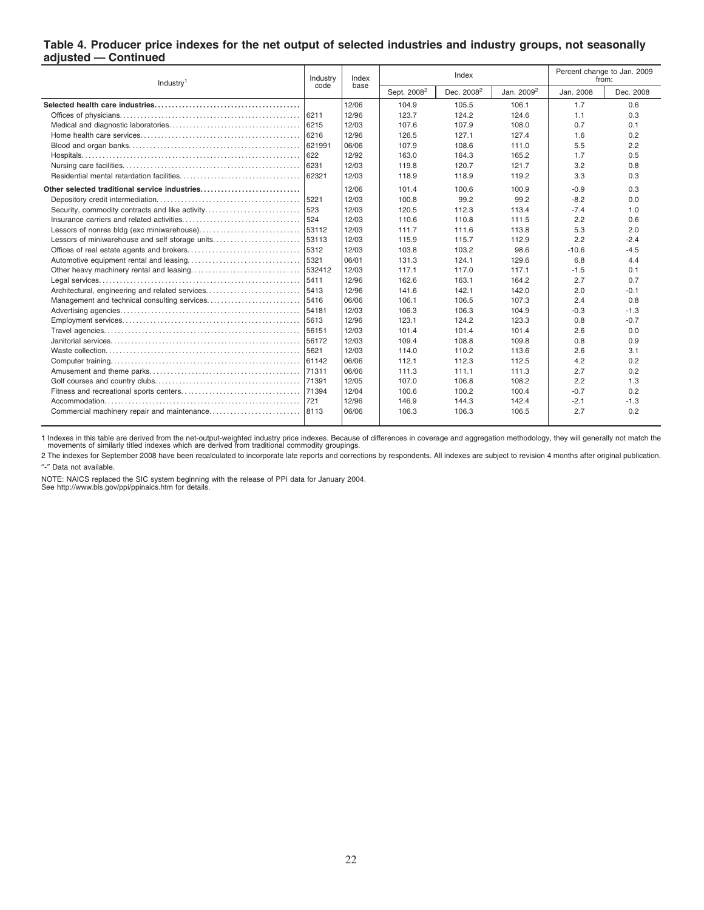#### **Table 4. Producer price indexes for the net output of selected industries and industry groups, not seasonally adjusted — Continued**

| Industry <sup>1</sup>                           |               | Index<br>base |                         | Index                  | Percent change to Jan. 2009<br>from: |           |           |
|-------------------------------------------------|---------------|---------------|-------------------------|------------------------|--------------------------------------|-----------|-----------|
|                                                 | code          |               | Sept. 2008 <sup>2</sup> | Dec. 2008 <sup>2</sup> | Jan. 2009 <sup>2</sup>               | Jan. 2008 | Dec. 2008 |
|                                                 |               | 12/06         | 104.9                   | 105.5                  | 106.1                                | 1.7       | 0.6       |
|                                                 |               | 12/96         | 123.7                   | 124.2                  | 124.6                                | 1.1       | 0.3       |
|                                                 | 16215         | 12/03         | 107.6                   | 107.9                  | 108.0                                | 0.7       | 0.1       |
|                                                 | 6216          | 12/96         | 126.5                   | 127.1                  | 127.4                                | 1.6       | 0.2       |
|                                                 | 621991        | 06/06         | 107.9                   | 108.6                  | 111.0                                | 5.5       | 2.2       |
|                                                 | $ 622\rangle$ | 12/92         | 163.0                   | 164.3                  | 165.2                                | 1.7       | 0.5       |
|                                                 | 16231         | 12/03         | 119.8                   | 120.7                  | 121.7                                | 3.2       | 0.8       |
|                                                 | 62321         | 12/03         | 118.9                   | 118.9                  | 119.2                                | 3.3       | 0.3       |
| Other selected traditional service industries   |               | 12/06         | 101.4                   | 100.6                  | 100.9                                | -0.9      | 0.3       |
|                                                 |               | 12/03         | 100.8                   | 99.2                   | 99.2                                 | $-8.2$    | 0.0       |
|                                                 |               | 12/03         | 120.5                   | 112.3                  | 113.4                                | $-7.4$    | 1.0       |
|                                                 | 1524          | 12/03         | 110.6                   | 110.8                  | 111.5                                | 2.2       | 0.6       |
|                                                 | 53112         | 12/03         | 111.7                   | 111.6                  | 113.8                                | 5.3       | 2.0       |
| Lessors of miniwarehouse and self storage units | 53113         | 12/03         | 115.9                   | 115.7                  | 112.9                                | 2.2       | $-2.4$    |
|                                                 | 5312          | 12/03         | 103.8                   | 103.2                  | 98.6                                 | $-10.6$   | $-4.5$    |
|                                                 | 5321          | 06/01         | 131.3                   | 124.1                  | 129.6                                | 6.8       | 4.4       |
|                                                 | 1532412       | 12/03         | 117.1                   | 117.0                  | 117.1                                | $-1.5$    | 0.1       |
|                                                 | 5411          | 12/96         | 162.6                   | 163.1                  | 164.2                                | 2.7       | 0.7       |
| Architectural, engineering and related services | 5413          | 12/96         | 141.6                   | 142.1                  | 142.0                                | 2.0       | $-0.1$    |
|                                                 | 5416          | 06/06         | 106.1                   | 106.5                  | 107.3                                | 2.4       | 0.8       |
|                                                 | 54181         | 12/03         | 106.3                   | 106.3                  | 104.9                                | $-0.3$    | $-1.3$    |
|                                                 |               | 12/96         | 123.1                   | 124.2                  | 123.3                                | 0.8       | $-0.7$    |
|                                                 | 56151         | 12/03         | 101.4                   | 101.4                  | 101.4                                | 2.6       | 0.0       |
|                                                 | 56172         | 12/03         | 109.4                   | 108.8                  | 109.8                                | 0.8       | 0.9       |
|                                                 | 15621         | 12/03         | 114.0                   | 110.2                  | 113.6                                | 2.6       | 3.1       |
|                                                 | 61142         | 06/06         | 112.1                   | 112.3                  | 112.5                                | 4.2       | 0.2       |
|                                                 | 171311        | 06/06         | 111.3                   | 111.1                  | 111.3                                | 2.7       | 0.2       |
|                                                 | 71391         | 12/05         | 107.0                   | 106.8                  | 108.2                                | 2.2       | 1.3       |
|                                                 | 71394         | 12/04         | 100.6                   | 100.2                  | 100.4                                | $-0.7$    | 0.2       |
|                                                 | 1721          | 12/96         | 146.9                   | 144.3                  | 142.4                                | $-2.1$    | $-1.3$    |
|                                                 | 8113          | 06/06         | 106.3                   | 106.3                  | 106.5                                | 2.7       | 0.2       |

1 Indexes in this table are derived from the net-output-weighted industry price indexes. Because of differences in coverage and aggregation methodology, they will generally not match the<br>movements of similarly titled index

2 The indexes for September 2008 have been recalculated to incorporate late reports and corrections by respondents. All indexes are subject to revision 4 months after original publication. ″-″ Data not available.

NOTE: NAICS replaced the SIC system beginning with the release of PPI data for January 2004. See http://www.bls.gov/ppi/ppinaics.htm for details.